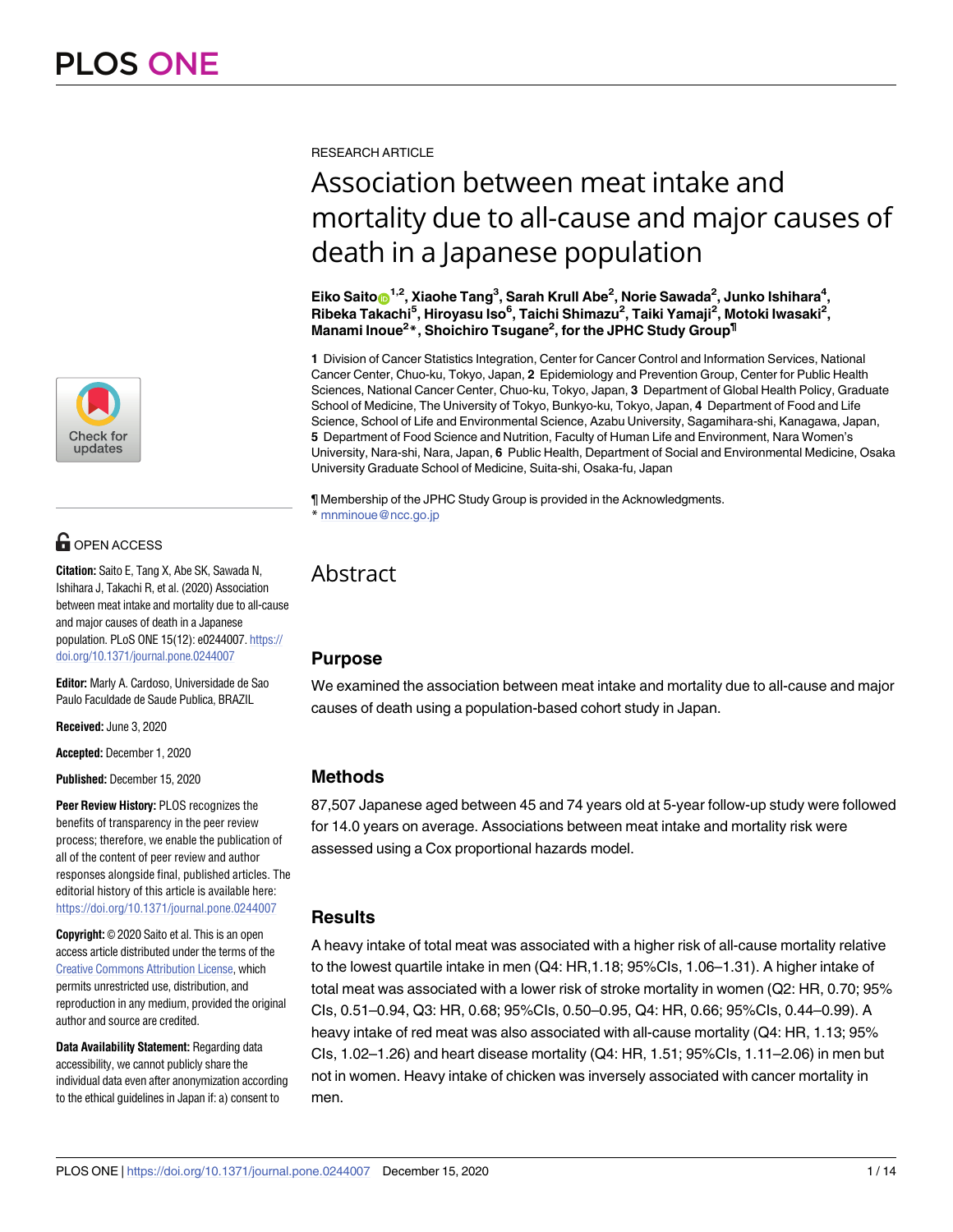

# **G** OPEN ACCESS

**Citation:** Saito E, Tang X, Abe SK, Sawada N, Ishihara J, Takachi R, et al. (2020) Association between meat intake and mortality due to all-cause and major causes of death in a Japanese population. PLoS ONE 15(12): e0244007. [https://](https://doi.org/10.1371/journal.pone.0244007) [doi.org/10.1371/journal.pone.0244007](https://doi.org/10.1371/journal.pone.0244007)

**Editor:** Marly A. Cardoso, Universidade de Sao Paulo Faculdade de Saude Publica, BRAZIL

**Received:** June 3, 2020

**Accepted:** December 1, 2020

**Published:** December 15, 2020

**Peer Review History:** PLOS recognizes the benefits of transparency in the peer review process; therefore, we enable the publication of all of the content of peer review and author responses alongside final, published articles. The editorial history of this article is available here: <https://doi.org/10.1371/journal.pone.0244007>

**Copyright:** © 2020 Saito et al. This is an open access article distributed under the terms of the Creative Commons [Attribution](http://creativecommons.org/licenses/by/4.0/) License, which permits unrestricted use, distribution, and reproduction in any medium, provided the original author and source are credited.

**Data Availability Statement:** Regarding data accessibility, we cannot publicly share the individual data even after anonymization according to the ethical guidelines in Japan if: a) consent to

RESEARCH ARTICLE

# Association between meat intake and mortality due to all-cause and major causes of death in a Japanese population

 $\mathsf{Eiko\, Saito}_\mathsf{D}^{1,2}$ , Xiaohe Tang<sup>3</sup>, Sarah Krull Abe<sup>2</sup>, Norie Sawada<sup>2</sup>, Junko Ishihara<sup>4</sup>, **Ribeka Takachi5 , Hiroyasu Iso6 , Taichi Shimazu2 , Taiki Yamaji2 , Motoki Iwasaki2 , Manami Inoue2 \*, Shoichiro Tsugane2 , for the JPHC Study Group¶**

**1** Division of Cancer Statistics Integration, Center for Cancer Control and Information Services, National Cancer Center, Chuo-ku, Tokyo, Japan, **2** Epidemiology and Prevention Group, Center for Public Health Sciences, National Cancer Center, Chuo-ku, Tokyo, Japan, **3** Department of Global Health Policy, Graduate School of Medicine, The University of Tokyo, Bunkyo-ku, Tokyo, Japan, **4** Department of Food and Life Science, School of Life and Environmental Science, Azabu University, Sagamihara-shi, Kanagawa, Japan, **5** Department of Food Science and Nutrition, Faculty of Human Life and Environment, Nara Women's University, Nara-shi, Nara, Japan, **6** Public Health, Department of Social and Environmental Medicine, Osaka University Graduate School of Medicine, Suita-shi, Osaka-fu, Japan

¶ Membership of the JPHC Study Group is provided in the Acknowledgments. \* mnminoue@ncc.go.jp

## Abstract

## **Purpose**

We examined the association between meat intake and mortality due to all-cause and major causes of death using a population-based cohort study in Japan.

## **Methods**

87,507 Japanese aged between 45 and 74 years old at 5-year follow-up study were followed for 14.0 years on average. Associations between meat intake and mortality risk were assessed using a Cox proportional hazards model.

## **Results**

A heavy intake of total meat was associated with a higher risk of all-cause mortality relative to the lowest quartile intake in men (Q4: HR,1.18; 95%CIs, 1.06–1.31). A higher intake of total meat was associated with a lower risk of stroke mortality in women (Q2: HR, 0.70; 95% CIs, 0.51–0.94, Q3: HR, 0.68; 95%CIs, 0.50–0.95, Q4: HR, 0.66; 95%CIs, 0.44–0.99). A heavy intake of red meat was also associated with all-cause mortality (Q4: HR, 1.13; 95% CIs, 1.02–1.26) and heart disease mortality (Q4: HR, 1.51; 95%CIs, 1.11–2.06) in men but not in women. Heavy intake of chicken was inversely associated with cancer mortality in men.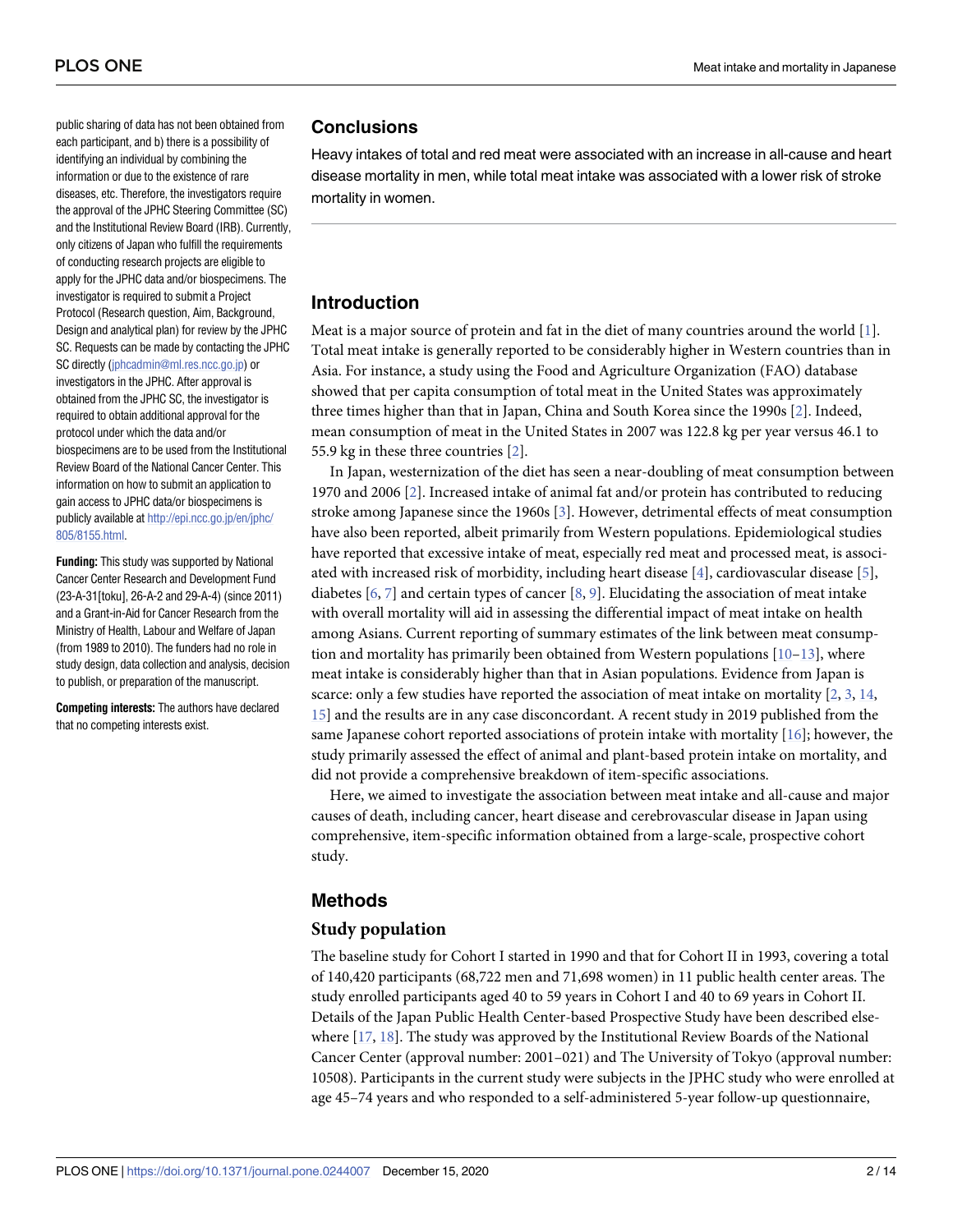<span id="page-1-0"></span>public sharing of data has not been obtained from each participant, and b) there is a possibility of identifying an individual by combining the information or due to the existence of rare diseases, etc. Therefore, the investigators require the approval of the JPHC Steering Committee (SC) and the Institutional Review Board (IRB). Currently, only citizens of Japan who fulfill the requirements of conducting research projects are eligible to apply for the JPHC data and/or biospecimens. The investigator is required to submit a Project Protocol (Research question, Aim, Background, Design and analytical plan) for review by the JPHC SC. Requests can be made by contacting the JPHC SC directly [\(jphcadmin@ml.res.ncc.go.jp](mailto:jphcadmin@ml.res.ncc.go.jp)) or investigators in the JPHC. After approval is obtained from the JPHC SC, the investigator is required to obtain additional approval for the protocol under which the data and/or biospecimens are to be used from the Institutional Review Board of the National Cancer Center. This information on how to submit an application to gain access to JPHC data/or biospecimens is publicly available at [http://epi.ncc.go.jp/en/jphc/](http://epi.ncc.go.jp/en/jphc/805/8155.html) [805/8155.html.](http://epi.ncc.go.jp/en/jphc/805/8155.html)

**Funding:** This study was supported by National Cancer Center Research and Development Fund (23-A-31[toku], 26-A-2 and 29-A-4) (since 2011) and a Grant-in-Aid for Cancer Research from the Ministry of Health, Labour and Welfare of Japan (from 1989 to 2010). The funders had no role in study design, data collection and analysis, decision to publish, or preparation of the manuscript.

**Competing interests:** The authors have declared that no competing interests exist.

## **Conclusions**

Heavy intakes of total and red meat were associated with an increase in all-cause and heart disease mortality in men, while total meat intake was associated with a lower risk of stroke mortality in women.

## **Introduction**

Meat is a major source of protein and fat in the diet of many countries around the world [\[1](#page-11-0)]. Total meat intake is generally reported to be considerably higher in Western countries than in Asia. For instance, a study using the Food and Agriculture Organization (FAO) database showed that per capita consumption of total meat in the United States was approximately three times higher than that in Japan, China and South Korea since the 1990s [\[2\]](#page-11-0). Indeed, mean consumption of meat in the United States in 2007 was 122.8 kg per year versus 46.1 to 55.9 kg in these three countries [\[2\]](#page-11-0).

In Japan, westernization of the diet has seen a near-doubling of meat consumption between 1970 and 2006 [\[2\]](#page-11-0). Increased intake of animal fat and/or protein has contributed to reducing stroke among Japanese since the 1960s [\[3\]](#page-11-0). However, detrimental effects of meat consumption have also been reported, albeit primarily from Western populations. Epidemiological studies have reported that excessive intake of meat, especially red meat and processed meat, is associated with increased risk of morbidity, including heart disease [[4](#page-11-0)], cardiovascular disease [[5\]](#page-11-0), diabetes  $[6, 7]$  $[6, 7]$  $[6, 7]$  and certain types of cancer  $[8, 9]$  $[8, 9]$  $[8, 9]$  $[8, 9]$ . Elucidating the association of meat intake with overall mortality will aid in assessing the differential impact of meat intake on health among Asians. Current reporting of summary estimates of the link between meat consumption and mortality has primarily been obtained from Western populations  $[10-13]$ , where meat intake is considerably higher than that in Asian populations. Evidence from Japan is scarce: only a few studies have reported the association of meat intake on mortality  $[2, 3, 14, 14]$  $[2, 3, 14, 14]$  $[2, 3, 14, 14]$  $[2, 3, 14, 14]$  $[2, 3, 14, 14]$  $[2, 3, 14, 14]$  $[2, 3, 14, 14]$ [15\]](#page-12-0) and the results are in any case disconcordant. A recent study in 2019 published from the same Japanese cohort reported associations of protein intake with mortality  $[16]$  $[16]$  $[16]$ ; however, the study primarily assessed the effect of animal and plant-based protein intake on mortality, and did not provide a comprehensive breakdown of item-specific associations.

Here, we aimed to investigate the association between meat intake and all-cause and major causes of death, including cancer, heart disease and cerebrovascular disease in Japan using comprehensive, item-specific information obtained from a large-scale, prospective cohort study.

## **Methods**

### **Study population**

The baseline study for Cohort I started in 1990 and that for Cohort II in 1993, covering a total of 140,420 participants (68,722 men and 71,698 women) in 11 public health center areas. The study enrolled participants aged 40 to 59 years in Cohort I and 40 to 69 years in Cohort II. Details of the Japan Public Health Center-based Prospective Study have been described elsewhere  $[17, 18]$  $[17, 18]$  $[17, 18]$  $[17, 18]$  $[17, 18]$ . The study was approved by the Institutional Review Boards of the National Cancer Center (approval number: 2001–021) and The University of Tokyo (approval number: 10508). Participants in the current study were subjects in the JPHC study who were enrolled at age 45–74 years and who responded to a self-administered 5-year follow-up questionnaire,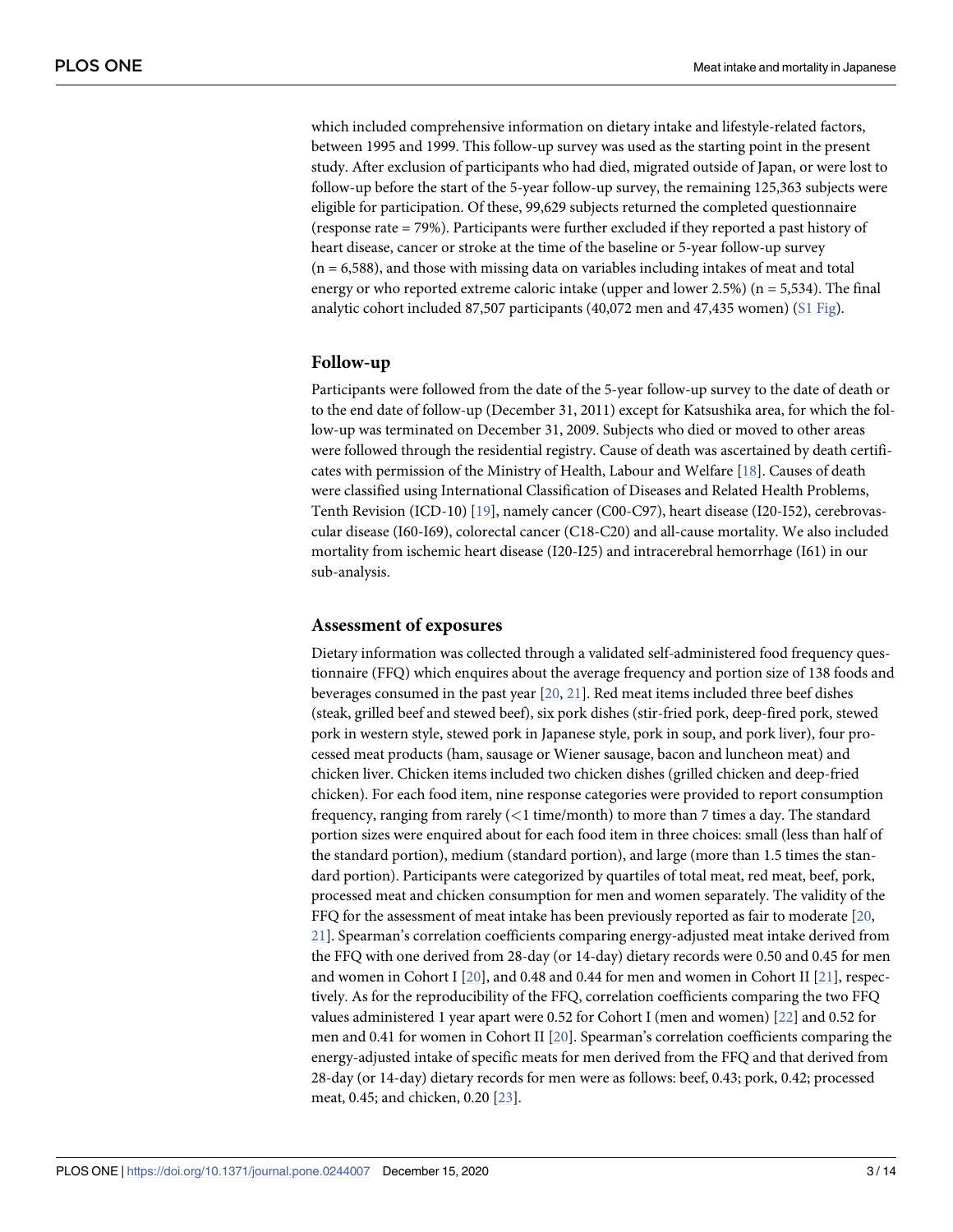<span id="page-2-0"></span>which included comprehensive information on dietary intake and lifestyle-related factors, between 1995 and 1999. This follow-up survey was used as the starting point in the present study. After exclusion of participants who had died, migrated outside of Japan, or were lost to follow-up before the start of the 5-year follow-up survey, the remaining 125,363 subjects were eligible for participation. Of these, 99,629 subjects returned the completed questionnaire (response rate = 79%). Participants were further excluded if they reported a past history of heart disease, cancer or stroke at the time of the baseline or 5-year follow-up survey  $(n = 6,588)$ , and those with missing data on variables including intakes of meat and total energy or who reported extreme caloric intake (upper and lower 2.5%) ( $n = 5,534$ ). The final analytic cohort included 87,507 participants (40,072 men and 47,435 women) (S1 [Fig](#page-10-0)).

#### **Follow-up**

Participants were followed from the date of the 5-year follow-up survey to the date of death or to the end date of follow-up (December 31, 2011) except for Katsushika area, for which the follow-up was terminated on December 31, 2009. Subjects who died or moved to other areas were followed through the residential registry. Cause of death was ascertained by death certificates with permission of the Ministry of Health, Labour and Welfare [[18](#page-12-0)]. Causes of death were classified using International Classification of Diseases and Related Health Problems, Tenth Revision (ICD-10) [[19](#page-12-0)], namely cancer (C00-C97), heart disease (I20-I52), cerebrovascular disease (I60-I69), colorectal cancer (C18-C20) and all-cause mortality. We also included mortality from ischemic heart disease (I20-I25) and intracerebral hemorrhage (I61) in our sub-analysis.

#### **Assessment of exposures**

Dietary information was collected through a validated self-administered food frequency questionnaire (FFQ) which enquires about the average frequency and portion size of 138 foods and beverages consumed in the past year [\[20,](#page-12-0) [21\]](#page-12-0). Red meat items included three beef dishes (steak, grilled beef and stewed beef), six pork dishes (stir-fried pork, deep-fired pork, stewed pork in western style, stewed pork in Japanese style, pork in soup, and pork liver), four processed meat products (ham, sausage or Wiener sausage, bacon and luncheon meat) and chicken liver. Chicken items included two chicken dishes (grilled chicken and deep-fried chicken). For each food item, nine response categories were provided to report consumption frequency, ranging from rarely (*<*1 time/month) to more than 7 times a day. The standard portion sizes were enquired about for each food item in three choices: small (less than half of the standard portion), medium (standard portion), and large (more than 1.5 times the standard portion). Participants were categorized by quartiles of total meat, red meat, beef, pork, processed meat and chicken consumption for men and women separately. The validity of the FFQ for the assessment of meat intake has been previously reported as fair to moderate [\[20,](#page-12-0) [21\]](#page-12-0). Spearman's correlation coefficients comparing energy-adjusted meat intake derived from the FFQ with one derived from 28-day (or 14-day) dietary records were 0.50 and 0.45 for men and women in Cohort I  $[20]$  $[20]$  $[20]$ , and 0.48 and 0.44 for men and women in Cohort II  $[21]$ , respectively. As for the reproducibility of the FFQ, correlation coefficients comparing the two FFQ values administered 1 year apart were 0.52 for Cohort I (men and women) [\[22\]](#page-12-0) and 0.52 for men and 0.41 for women in Cohort II [[20](#page-12-0)]. Spearman's correlation coefficients comparing the energy-adjusted intake of specific meats for men derived from the FFQ and that derived from 28-day (or 14-day) dietary records for men were as follows: beef, 0.43; pork, 0.42; processed meat, 0.45; and chicken, 0.20 [\[23\]](#page-12-0).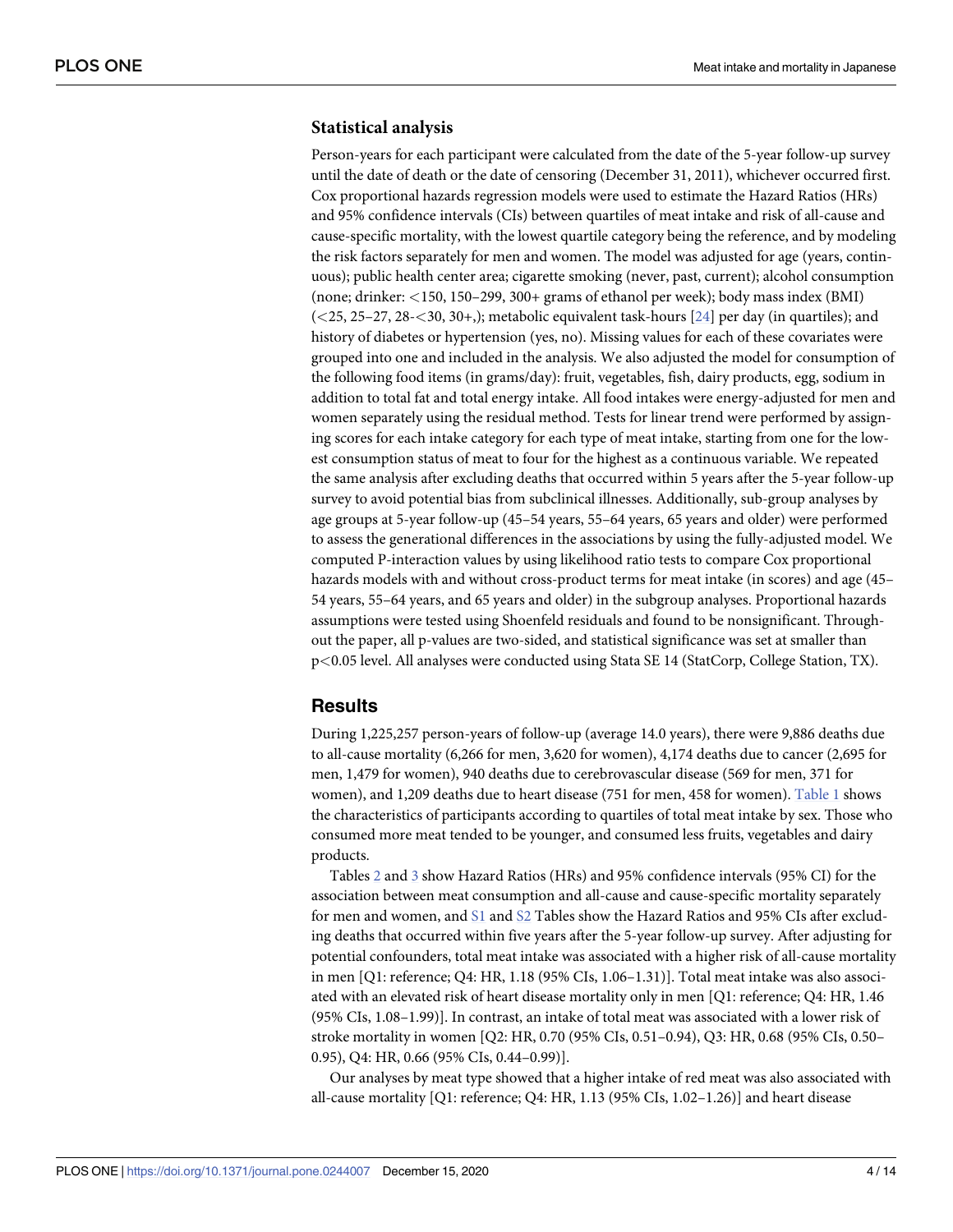#### <span id="page-3-0"></span>**Statistical analysis**

Person-years for each participant were calculated from the date of the 5-year follow-up survey until the date of death or the date of censoring (December 31, 2011), whichever occurred first. Cox proportional hazards regression models were used to estimate the Hazard Ratios (HRs) and 95% confidence intervals (CIs) between quartiles of meat intake and risk of all-cause and cause-specific mortality, with the lowest quartile category being the reference, and by modeling the risk factors separately for men and women. The model was adjusted for age (years, continuous); public health center area; cigarette smoking (never, past, current); alcohol consumption (none; drinker: *<*150, 150–299, 300+ grams of ethanol per week); body mass index (BMI) (*<*25, 25–27, 28-*<*30, 30+,); metabolic equivalent task-hours [[24](#page-12-0)] per day (in quartiles); and history of diabetes or hypertension (yes, no). Missing values for each of these covariates were grouped into one and included in the analysis. We also adjusted the model for consumption of the following food items (in grams/day): fruit, vegetables, fish, dairy products, egg, sodium in addition to total fat and total energy intake. All food intakes were energy-adjusted for men and women separately using the residual method. Tests for linear trend were performed by assigning scores for each intake category for each type of meat intake, starting from one for the lowest consumption status of meat to four for the highest as a continuous variable. We repeated the same analysis after excluding deaths that occurred within 5 years after the 5-year follow-up survey to avoid potential bias from subclinical illnesses. Additionally, sub-group analyses by age groups at 5-year follow-up (45–54 years, 55–64 years, 65 years and older) were performed to assess the generational differences in the associations by using the fully-adjusted model. We computed P-interaction values by using likelihood ratio tests to compare Cox proportional hazards models with and without cross-product terms for meat intake (in scores) and age (45– 54 years, 55–64 years, and 65 years and older) in the subgroup analyses. Proportional hazards assumptions were tested using Shoenfeld residuals and found to be nonsignificant. Throughout the paper, all p-values are two-sided, and statistical significance was set at smaller than p*<*0.05 level. All analyses were conducted using Stata SE 14 (StatCorp, College Station, TX).

## **Results**

During 1,225,257 person-years of follow-up (average 14.0 years), there were 9,886 deaths due to all-cause mortality (6,266 for men, 3,620 for women), 4,174 deaths due to cancer (2,695 for men, 1,479 for women), 940 deaths due to cerebrovascular disease (569 for men, 371 for women), and 1,209 deaths due to heart disease (751 for men, 458 for women). [Table](#page-4-0) 1 shows the characteristics of participants according to quartiles of total meat intake by sex. Those who consumed more meat tended to be younger, and consumed less fruits, vegetables and dairy products.

Tables [2](#page-5-0) and [3](#page-6-0) show Hazard Ratios (HRs) and 95% confidence intervals (95% CI) for the association between meat consumption and all-cause and cause-specific mortality separately for men and women, and [S1](#page-10-0) and [S2](#page-10-0) Tables show the Hazard Ratios and 95% CIs after excluding deaths that occurred within five years after the 5-year follow-up survey. After adjusting for potential confounders, total meat intake was associated with a higher risk of all-cause mortality in men [Q1: reference; Q4: HR, 1.18 (95% CIs, 1.06–1.31)]. Total meat intake was also associated with an elevated risk of heart disease mortality only in men [Q1: reference; Q4: HR, 1.46 (95% CIs, 1.08–1.99)]. In contrast, an intake of total meat was associated with a lower risk of stroke mortality in women [Q2: HR, 0.70 (95% CIs, 0.51–0.94), Q3: HR, 0.68 (95% CIs, 0.50– 0.95), Q4: HR, 0.66 (95% CIs, 0.44–0.99)].

Our analyses by meat type showed that a higher intake of red meat was also associated with all-cause mortality [Q1: reference; Q4: HR, 1.13 (95% CIs, 1.02–1.26)] and heart disease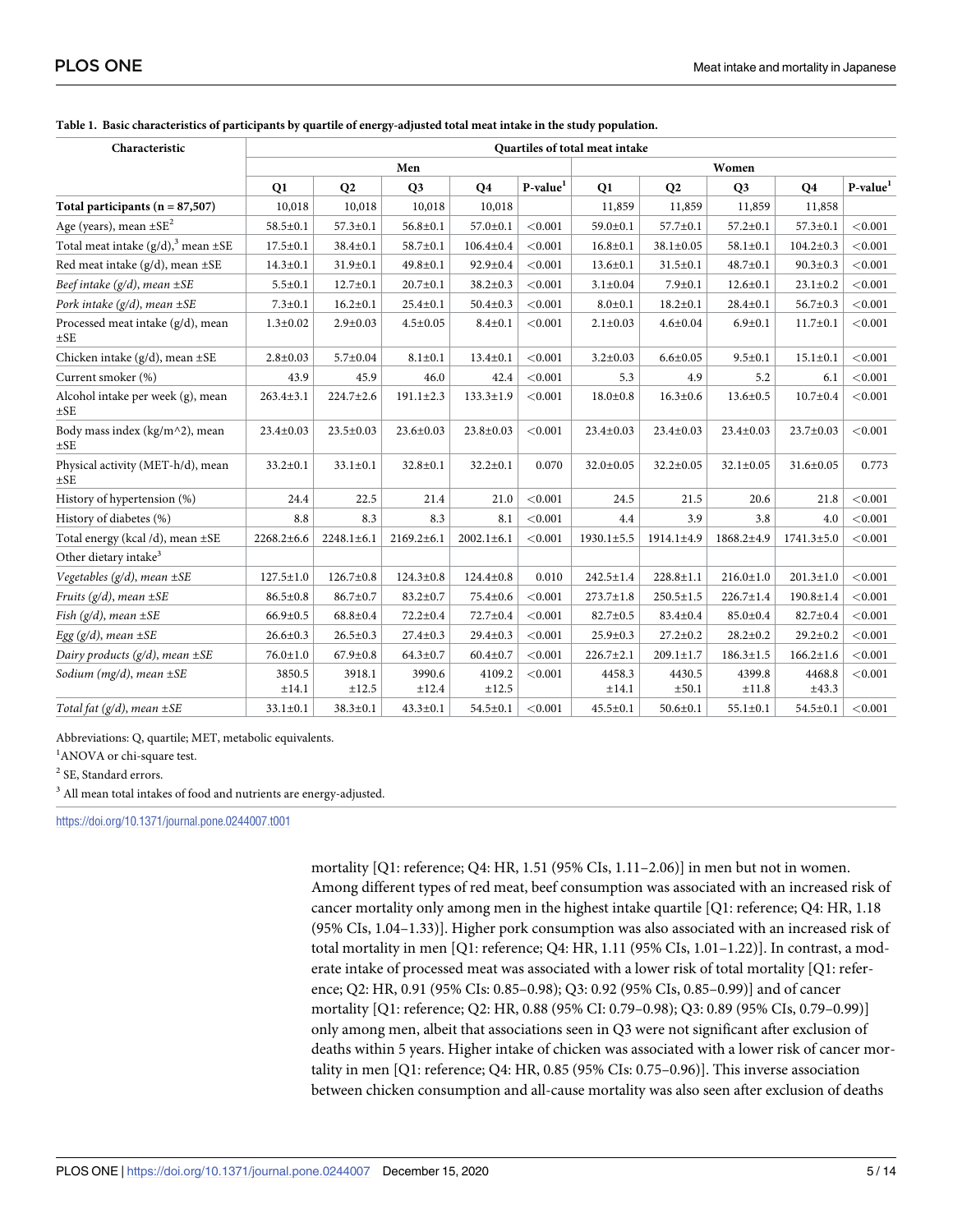| Characteristic                                | Quartiles of total meat intake |                  |                  |                  |                      |                  |                      |                 |                  |            |  |  |  |
|-----------------------------------------------|--------------------------------|------------------|------------------|------------------|----------------------|------------------|----------------------|-----------------|------------------|------------|--|--|--|
|                                               |                                |                  | Men              |                  | Women                |                  |                      |                 |                  |            |  |  |  |
|                                               | Q1                             | Q <sub>2</sub>   | Q <sub>3</sub>   | <b>Q4</b>        | P-value <sup>1</sup> | Q1               | Q <sub>2</sub>       | Q <sub>3</sub>  | Q <sub>4</sub>   | $P-value1$ |  |  |  |
| Total participants ( $n = 87,507$ )           | 10,018                         | 10,018           | 10,018           | 10,018           |                      | 11,859           | 11,859               | 11,859          | 11,858           |            |  |  |  |
| Age (years), mean $\pm$ SE <sup>2</sup>       | $58.5 \pm 0.1$                 | $57.3 \pm 0.1$   | $56.8 \pm 0.1$   | $57.0 \pm 0.1$   | < 0.001              | $59.0 \pm 0.1$   | $57.7 \pm 0.1$       | $57.2 \pm 0.1$  | $57.3 \pm 0.1$   | < 0.001    |  |  |  |
| Total meat intake $(g/d)3$ mean $\pm$ SE      | $17.5 \pm 0.1$                 | $38.4 \pm 0.1$   | $58.7 \pm 0.1$   | $106.4 \pm 0.4$  | < 0.001              | $16.8 \pm 0.1$   | $38.1 \pm 0.05$      | $58.1 \pm 0.1$  | $104.2 \pm 0.3$  | < 0.001    |  |  |  |
| Red meat intake $(g/d)$ , mean $\pm$ SE       | $14.3 \pm 0.1$                 | $31.9 \pm 0.1$   | $49.8 \pm 0.1$   | $92.9 \pm 0.4$   | < 0.001              | $13.6 \pm 0.1$   | $31.5 \pm 0.1$       | $48.7 \pm 0.1$  | $90.3 \pm 0.3$   | < 0.001    |  |  |  |
| Beef intake $(g/d)$ , mean $\pm SE$           | $5.5 \pm 0.1$                  | $12.7 \pm 0.1$   | $20.7 \pm 0.1$   | $38.2 \pm 0.3$   | < 0.001              | $3.1 \pm 0.04$   | $7.9 + 0.1$          | $12.6 \pm 0.1$  | $23.1 \pm 0.2$   | < 0.001    |  |  |  |
| Pork intake $(g/d)$ , mean $\pm$ SE           | $7.3 \pm 0.1$                  | $16.2 \pm 0.1$   | $25.4 \pm 0.1$   | $50.4 \pm 0.3$   | < 0.001              | $8.0 + 0.1$      | $18.2 \pm 0.1$       | $28.4 \pm 0.1$  | $56.7 \pm 0.3$   | < 0.001    |  |  |  |
| Processed meat intake (g/d), mean<br>$\pm$ SE | $1.3 \pm 0.02$                 | $2.9 \pm 0.03$   | $4.5 \pm 0.05$   | $8.4 + 0.1$      | < 0.001              | $2.1 \pm 0.03$   | $4.6 \pm 0.04$       | $6.9 + 0.1$     | $11.7 \pm 0.1$   | < 0.001    |  |  |  |
| Chicken intake $(g/d)$ , mean $\pm$ SE        | $2.8 + 0.03$                   | $5.7 \pm 0.04$   | $8.1 \pm 0.1$    | $13.4 \pm 0.1$   | < 0.001              | $3.2 \pm 0.03$   | $6.6 \pm 0.05$       | $9.5 \pm 0.1$   | $15.1 \pm 0.1$   | < 0.001    |  |  |  |
| Current smoker (%)                            | 43.9                           | 45.9             | 46.0             | 42.4             | < 0.001              | 5.3              | 4.9                  | 5.2             | 6.1              | < 0.001    |  |  |  |
| Alcohol intake per week (g), mean<br>$\pm$ SE | $263.4 \pm 3.1$                | $224.7 \pm 2.6$  | $191.1 \pm 2.3$  | $133.3 \pm 1.9$  | < 0.001              | $18.0 \pm 0.8$   | $16.3 \pm 0.6$       | $13.6 \pm 0.5$  | $10.7 \pm 0.4$   | < 0.001    |  |  |  |
| Body mass index (kg/m^2), mean<br>$\pm$ SE    | $23.4 \pm 0.03$                | $23.5 \pm 0.03$  | $23.6 \pm 0.03$  | $23.8 \pm 0.03$  | < 0.001              | $23.4 \pm 0.03$  | $23.4 \pm 0.03$      | $23.4 \pm 0.03$ | 23.7±0.03        | < 0.001    |  |  |  |
| Physical activity (MET-h/d), mean<br>$\pm$ SE | $33.2 \pm 0.1$                 | $33.1 \pm 0.1$   | $32.8 \pm 0.1$   | $32.2 \pm 0.1$   | 0.070                | 32.0±0.05        | $32.2 \pm 0.05$      | $32.1 \pm 0.05$ | $31.6 \pm 0.05$  | 0.773      |  |  |  |
| History of hypertension (%)                   | 24.4                           | 22.5             | 21.4             | 21.0             | < 0.001              | 24.5             | 21.5                 | 20.6            | 21.8             | < 0.001    |  |  |  |
| History of diabetes (%)                       | 8.8                            | 8.3              | 8.3              | 8.1              | < 0.001              | 4.4              | 3.9                  | 3.8             | 4.0              | < 0.001    |  |  |  |
| Total energy (kcal /d), mean ±SE              | $2268.2 \pm 6.6$               | $2248.1 \pm 6.1$ | $2169.2 \pm 6.1$ | $2002.1 \pm 6.1$ | < 0.001              | $1930.1 \pm 5.5$ | 1914.1±4.9           | 1868.2±4.9      | $1741.3 \pm 5.0$ | < 0.001    |  |  |  |
| Other dietary intake <sup>3</sup>             |                                |                  |                  |                  |                      |                  |                      |                 |                  |            |  |  |  |
| Vegetables $(g/d)$ , mean $\pm SE$            | $127.5 \pm 1.0$                | $126.7 \pm 0.8$  | $124.3 \pm 0.8$  | $124.4 \pm 0.8$  | 0.010                | $242.5 \pm 1.4$  | $228.8 \pm 1.1$      | $216.0 \pm 1.0$ | $201.3 \pm 1.0$  | < 0.001    |  |  |  |
| Fruits $(g/d)$ , mean $\pm$ SE                | $86.5 \pm 0.8$                 | $86.7 \pm 0.7$   | $83.2 \pm 0.7$   | $75.4 \pm 0.6$   | < 0.001              | $273.7 \pm 1.8$  | $250.5 \pm 1.5$      | $226.7 \pm 1.4$ | $190.8 \pm 1.4$  | < 0.001    |  |  |  |
| Fish $(g/d)$ , mean $\pm$ SE                  | $66.9 \pm 0.5$                 | $68.8 \pm 0.4$   | $72.2 \pm 0.4$   | 72.7±0.4         | < 0.001              | $82.7 \pm 0.5$   | 83.4±0.4             | $85.0 \pm 0.4$  | 82.7±0.4         | < 0.001    |  |  |  |
| Egg $(g/d)$ , mean $\pm$ SE                   | $26.6 \pm 0.3$                 | $26.5 \pm 0.3$   | $27.4 \pm 0.3$   | $29.4 \pm 0.3$   | < 0.001              | $25.9 \pm 0.3$   | $27.2 \pm 0.2$       | $28.2 \pm 0.2$  | $29.2 \pm 0.2$   | < 0.001    |  |  |  |
| Dairy products $(g/d)$ , mean $\pm$ SE        | $76.0 \pm 1.0$                 | $67.9 \pm 0.8$   | $64.3 \pm 0.7$   | $60.4 \pm 0.7$   | < 0.001              | $226.7 \pm 2.1$  | $209.1 \pm 1.7$      | $186.3 \pm 1.5$ | $166.2 \pm 1.6$  | < 0.001    |  |  |  |
| Sodium (mg/d), mean $\pm$ SE                  | 3850.5<br>±14.1                | 3918.1<br>±12.5  | 3990.6<br>±12.4  | 4109.2<br>±12.5  | < 0.001              | 4458.3<br>±14.1  | 4430.5<br>$\pm 50.1$ | 4399.8<br>±11.8 | 4468.8<br>±43.3  | < 0.001    |  |  |  |
| Total fat $(g/d)$ , mean $\pm$ SE             | $33.1 \pm 0.1$                 | $38.3 \pm 0.1$   | $43.3 \pm 0.1$   | $54.5 \pm 0.1$   | < 0.001              | $45.5 \pm 0.1$   | $50.6 \pm 0.1$       | $55.1 \pm 0.1$  | $54.5 \pm 0.1$   | < 0.001    |  |  |  |

#### <span id="page-4-0"></span>[Table](#page-3-0) 1. Basic characteristics of participants by quartile of energy-adjusted total meat intake in the study population.

Abbreviations: Q, quartile; MET, metabolic equivalents.

<sup>1</sup>ANOVA or chi-square test.

<sup>2</sup> SE, Standard errors.

 $^3$  All mean total intakes of food and nutrients are energy-adjusted.

<https://doi.org/10.1371/journal.pone.0244007.t001>

mortality [Q1: reference; Q4: HR, 1.51 (95% CIs, 1.11–2.06)] in men but not in women. Among different types of red meat, beef consumption was associated with an increased risk of cancer mortality only among men in the highest intake quartile [Q1: reference; Q4: HR, 1.18 (95% CIs, 1.04–1.33)]. Higher pork consumption was also associated with an increased risk of total mortality in men [Q1: reference; Q4: HR, 1.11 (95% CIs, 1.01–1.22)]. In contrast, a moderate intake of processed meat was associated with a lower risk of total mortality [Q1: reference; Q2: HR, 0.91 (95% CIs: 0.85–0.98); Q3: 0.92 (95% CIs, 0.85–0.99)] and of cancer mortality [Q1: reference; Q2: HR, 0.88 (95% CI: 0.79–0.98); Q3: 0.89 (95% CIs, 0.79–0.99)] only among men, albeit that associations seen in Q3 were not significant after exclusion of deaths within 5 years. Higher intake of chicken was associated with a lower risk of cancer mortality in men [Q1: reference; Q4: HR, 0.85 (95% CIs: 0.75–0.96)]. This inverse association between chicken consumption and all-cause mortality was also seen after exclusion of deaths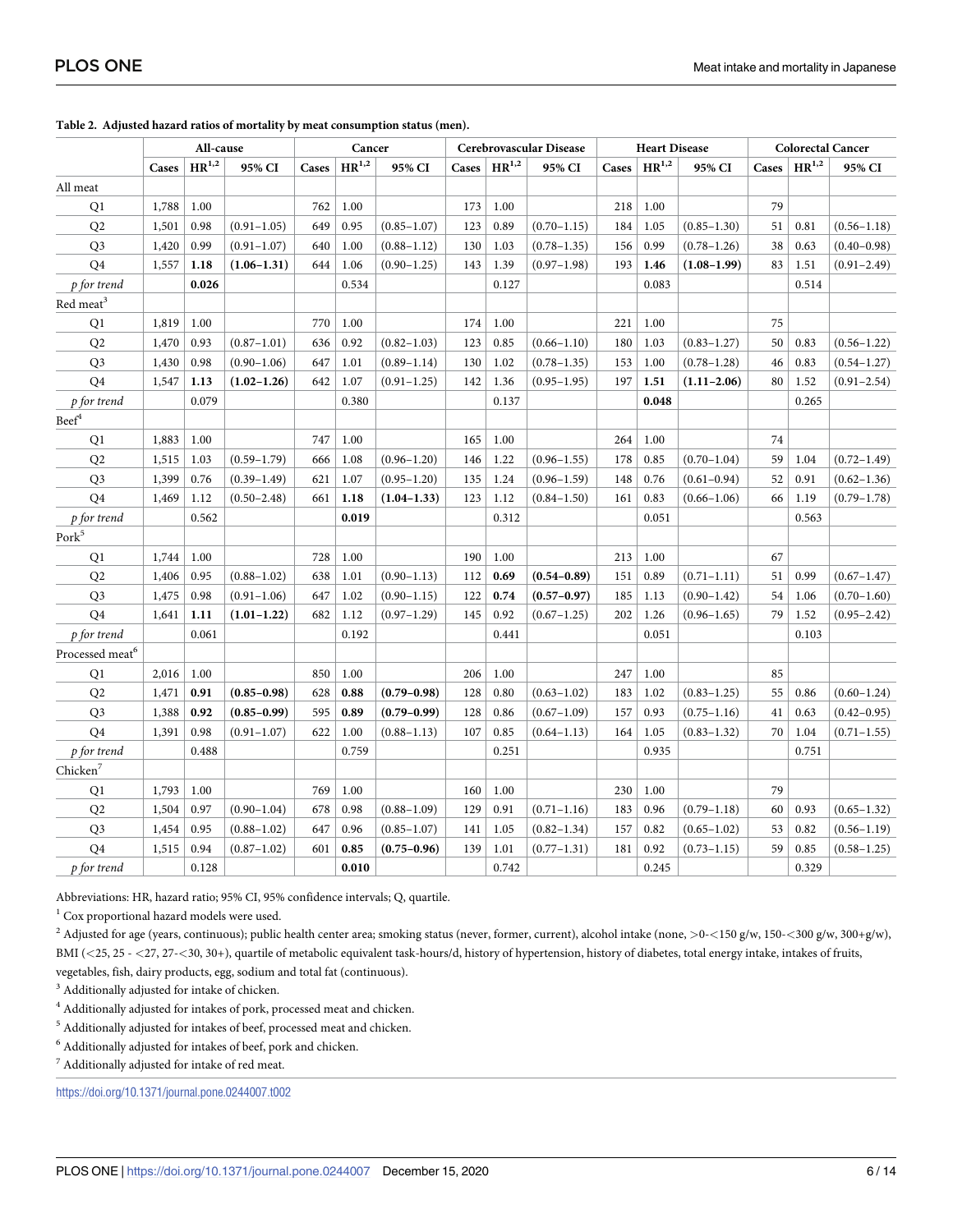|                                 | All-cause |                     | Cancer          |       | Cerebrovascular Disease |                 |       | <b>Heart Disease</b> |                 |       | <b>Colorectal Cancer</b> |                 |       |            |                 |
|---------------------------------|-----------|---------------------|-----------------|-------|-------------------------|-----------------|-------|----------------------|-----------------|-------|--------------------------|-----------------|-------|------------|-----------------|
|                                 | Cases     | $\mathbf{HR}^{1,2}$ | 95% CI          | Cases | $HR^{1,2}$              | 95% CI          | Cases | $HR^{1,2}$           | 95% CI          | Cases | $HR^{1,2}$               | 95% CI          | Cases | $HR^{1,2}$ | 95% CI          |
| All meat                        |           |                     |                 |       |                         |                 |       |                      |                 |       |                          |                 |       |            |                 |
| Q1                              | 1,788     | 1.00                |                 | 762   | 1.00                    |                 | 173   | 1.00                 |                 | 218   | 1.00                     |                 | 79    |            |                 |
| Q2                              | 1,501     | 0.98                | $(0.91 - 1.05)$ | 649   | 0.95                    | $(0.85 - 1.07)$ | 123   | 0.89                 | $(0.70 - 1.15)$ | 184   | 1.05                     | $(0.85 - 1.30)$ | 51    | 0.81       | $(0.56 - 1.18)$ |
| Q <sub>3</sub>                  | 1,420     | 0.99                | $(0.91 - 1.07)$ | 640   | 1.00                    | $(0.88 - 1.12)$ | 130   | 1.03                 | $(0.78 - 1.35)$ | 156   | 0.99                     | $(0.78 - 1.26)$ | 38    | 0.63       | $(0.40 - 0.98)$ |
| Q4                              | 1,557     | 1.18                | $(1.06 - 1.31)$ | 644   | 1.06                    | $(0.90 - 1.25)$ | 143   | 1.39                 | $(0.97 - 1.98)$ | 193   | 1.46                     | $(1.08 - 1.99)$ | 83    | 1.51       | $(0.91 - 2.49)$ |
| p for trend                     |           | 0.026               |                 |       | 0.534                   |                 |       | 0.127                |                 |       | 0.083                    |                 |       | 0.514      |                 |
| $\mbox{Red}$<br>$\mbox{meat}^3$ |           |                     |                 |       |                         |                 |       |                      |                 |       |                          |                 |       |            |                 |
| Q1                              | 1,819     | 1.00                |                 | 770   | 1.00                    |                 | 174   | 1.00                 |                 | 221   | 1.00                     |                 | 75    |            |                 |
| Q <sub>2</sub>                  | 1,470     | 0.93                | $(0.87 - 1.01)$ | 636   | 0.92                    | $(0.82 - 1.03)$ | 123   | 0.85                 | $(0.66 - 1.10)$ | 180   | 1.03                     | $(0.83 - 1.27)$ | 50    | 0.83       | $(0.56 - 1.22)$ |
| Q <sub>3</sub>                  | 1,430     | 0.98                | $(0.90 - 1.06)$ | 647   | 1.01                    | $(0.89 - 1.14)$ | 130   | 1.02                 | $(0.78 - 1.35)$ | 153   | 1.00                     | $(0.78 - 1.28)$ | 46    | 0.83       | $(0.54 - 1.27)$ |
| Q4                              | 1,547     | 1.13                | $(1.02 - 1.26)$ | 642   | 1.07                    | $(0.91 - 1.25)$ | 142   | 1.36                 | $(0.95 - 1.95)$ | 197   | 1.51                     | $(1.11 - 2.06)$ | 80    | 1.52       | $(0.91 - 2.54)$ |
| p for trend                     |           | 0.079               |                 |       | 0.380                   |                 |       | 0.137                |                 |       | 0.048                    |                 |       | 0.265      |                 |
| $\ensuremath{\text{Beef}}^4$    |           |                     |                 |       |                         |                 |       |                      |                 |       |                          |                 |       |            |                 |
| Q1                              | 1,883     | 1.00                |                 | 747   | 1.00                    |                 | 165   | 1.00                 |                 | 264   | 1.00                     |                 | 74    |            |                 |
| Q2                              | 1,515     | 1.03                | $(0.59 - 1.79)$ | 666   | 1.08                    | $(0.96 - 1.20)$ | 146   | 1.22                 | $(0.96 - 1.55)$ | 178   | 0.85                     | $(0.70 - 1.04)$ | 59    | 1.04       | $(0.72 - 1.49)$ |
| Q <sub>3</sub>                  | 1,399     | 0.76                | $(0.39 - 1.49)$ | 621   | 1.07                    | $(0.95 - 1.20)$ | 135   | 1.24                 | $(0.96 - 1.59)$ | 148   | 0.76                     | $(0.61 - 0.94)$ | 52    | 0.91       | $(0.62 - 1.36)$ |
| Q <sub>4</sub>                  | 1,469     | 1.12                | $(0.50 - 2.48)$ | 661   | 1.18                    | $(1.04 - 1.33)$ | 123   | 1.12                 | $(0.84 - 1.50)$ | 161   | 0.83                     | $(0.66 - 1.06)$ | 66    | 1.19       | $(0.79 - 1.78)$ |
| p for trend                     |           | 0.562               |                 |       | 0.019                   |                 |       | 0.312                |                 |       | 0.051                    |                 |       | 0.563      |                 |
| Pork <sup>5</sup>               |           |                     |                 |       |                         |                 |       |                      |                 |       |                          |                 |       |            |                 |
| Q1                              | 1,744     | 1.00                |                 | 728   | 1.00                    |                 | 190   | 1.00                 |                 | 213   | 1.00                     |                 | 67    |            |                 |
| Q <sub>2</sub>                  | 1,406     | 0.95                | $(0.88 - 1.02)$ | 638   | 1.01                    | $(0.90 - 1.13)$ | 112   | 0.69                 | $(0.54 - 0.89)$ | 151   | 0.89                     | $(0.71 - 1.11)$ | 51    | 0.99       | $(0.67 - 1.47)$ |
| Q <sub>3</sub>                  | 1,475     | 0.98                | $(0.91 - 1.06)$ | 647   | 1.02                    | $(0.90 - 1.15)$ | 122   | 0.74                 | $(0.57 - 0.97)$ | 185   | 1.13                     | $(0.90 - 1.42)$ | 54    | 1.06       | $(0.70 - 1.60)$ |
| Q4                              | 1,641     | 1.11                | $(1.01 - 1.22)$ | 682   | 1.12                    | $(0.97 - 1.29)$ | 145   | 0.92                 | $(0.67 - 1.25)$ | 202   | 1.26                     | $(0.96 - 1.65)$ | 79    | 1.52       | $(0.95 - 2.42)$ |
| p for trend                     |           | 0.061               |                 |       | 0.192                   |                 |       | 0.441                |                 |       | 0.051                    |                 |       | 0.103      |                 |
| Processed meat <sup>6</sup>     |           |                     |                 |       |                         |                 |       |                      |                 |       |                          |                 |       |            |                 |
| Q1                              | 2,016     | 1.00                |                 | 850   | 1.00                    |                 | 206   | 1.00                 |                 | 247   | 1.00                     |                 | 85    |            |                 |
| Q <sub>2</sub>                  | 1,471     | 0.91                | $(0.85 - 0.98)$ | 628   | 0.88                    | $(0.79 - 0.98)$ | 128   | 0.80                 | $(0.63 - 1.02)$ | 183   | 1.02                     | $(0.83 - 1.25)$ | 55    | 0.86       | $(0.60 - 1.24)$ |
| Q <sub>3</sub>                  | 1,388     | 0.92                | $(0.85 - 0.99)$ | 595   | 0.89                    | $(0.79 - 0.99)$ | 128   | 0.86                 | $(0.67 - 1.09)$ | 157   | 0.93                     | $(0.75 - 1.16)$ | 41    | 0.63       | $(0.42 - 0.95)$ |
| Q4                              | 1,391     | 0.98                | $(0.91 - 1.07)$ | 622   | 1.00                    | $(0.88 - 1.13)$ | 107   | 0.85                 | $(0.64 - 1.13)$ | 164   | 1.05                     | $(0.83 - 1.32)$ | 70    | 1.04       | $(0.71 - 1.55)$ |
| p for trend                     |           | 0.488               |                 |       | 0.759                   |                 |       | 0.251                |                 |       | 0.935                    |                 |       | 0.751      |                 |
| Chicken <sup>7</sup>            |           |                     |                 |       |                         |                 |       |                      |                 |       |                          |                 |       |            |                 |
| Q1                              | 1,793     | 1.00                |                 | 769   | 1.00                    |                 | 160   | 1.00                 |                 | 230   | 1.00                     |                 | 79    |            |                 |
| Q2                              | 1,504     | 0.97                | $(0.90 - 1.04)$ | 678   | 0.98                    | $(0.88 - 1.09)$ | 129   | 0.91                 | $(0.71 - 1.16)$ | 183   | 0.96                     | $(0.79 - 1.18)$ | 60    | 0.93       | $(0.65 - 1.32)$ |
| Q3                              | 1,454     | 0.95                | $(0.88 - 1.02)$ | 647   | 0.96                    | $(0.85 - 1.07)$ | 141   | 1.05                 | $(0.82 - 1.34)$ | 157   | 0.82                     | $(0.65 - 1.02)$ | 53    | 0.82       | $(0.56 - 1.19)$ |
| Q4                              | 1,515     | 0.94                | $(0.87 - 1.02)$ | 601   | 0.85                    | $(0.75 - 0.96)$ | 139   | 1.01                 | $(0.77 - 1.31)$ | 181   | 0.92                     | $(0.73 - 1.15)$ | 59    | 0.85       | $(0.58 - 1.25)$ |
| p for trend                     |           | 0.128               |                 |       | 0.010                   |                 |       | 0.742                |                 |       | 0.245                    |                 |       | 0.329      |                 |

<span id="page-5-0"></span>

Abbreviations: HR, hazard ratio; 95% CI, 95% confidence intervals; Q, quartile.

 $1$  Cox proportional hazard models were used.

<sup>2</sup> Adjusted for age (years, continuous); public health center area; smoking status (never, former, current), alcohol intake (none, *>*0-*<*150 g/w, 150-*<*300 g/w, 300+g/w), BMI (*<*25, 25 - *<*27, 27-*<*30, 30+), quartile of metabolic equivalent task-hours/d, history of hypertension, history of diabetes, total energy intake, intakes of fruits, vegetables, fish, dairy products, egg, sodium and total fat (continuous).

<sup>3</sup> Additionally adjusted for intake of chicken.

<sup>4</sup> Additionally adjusted for intakes of pork, processed meat and chicken.

<sup>5</sup> Additionally adjusted for intakes of beef, processed meat and chicken.

 $^6$  Additionally adjusted for intakes of beef, pork and chicken.

<sup>7</sup> Additionally adjusted for intake of red meat.

<https://doi.org/10.1371/journal.pone.0244007.t002>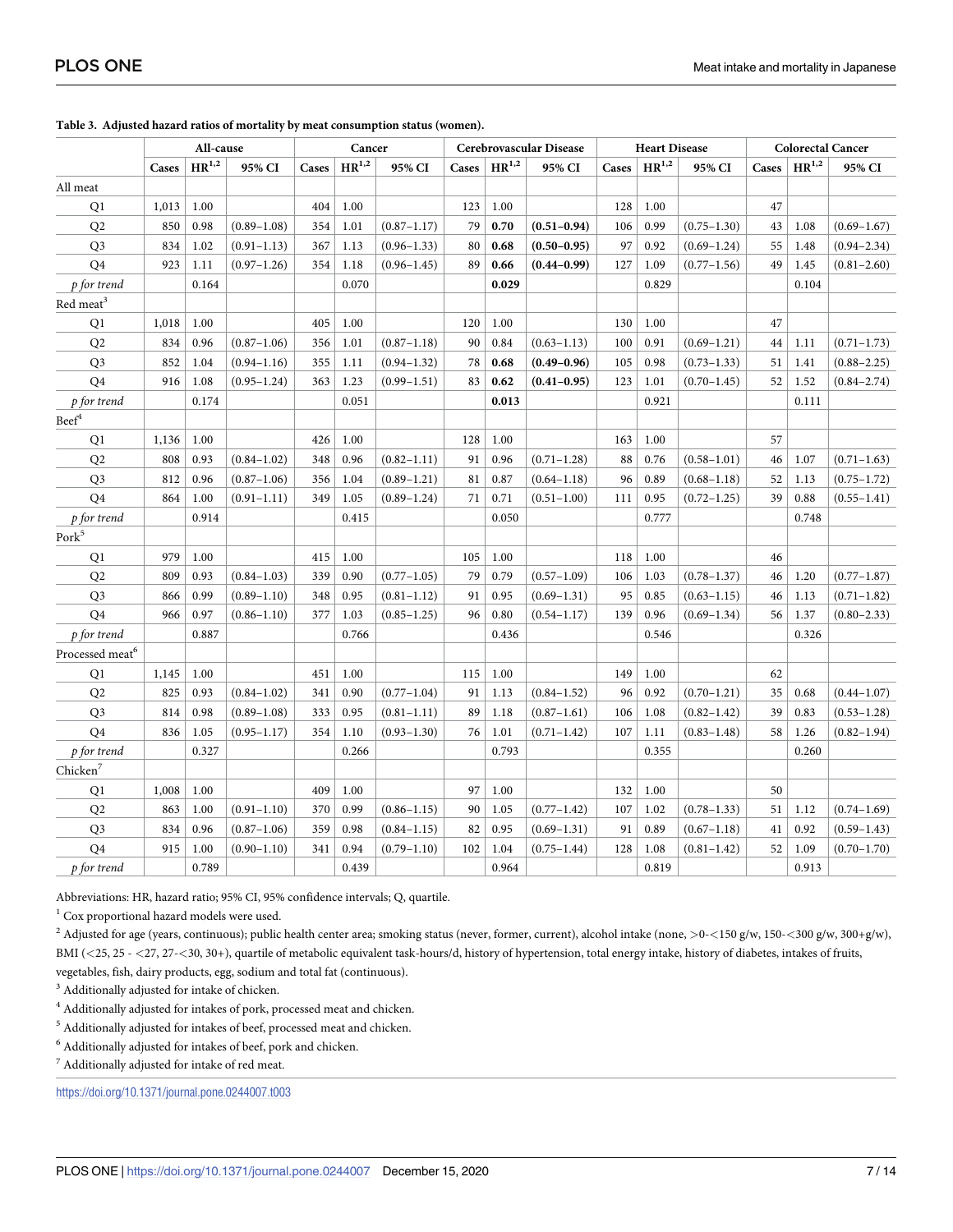|                              | All-cause |            | Cancer          |       | Cerebrovascular Disease |                 |       | <b>Heart Disease</b> |                 |       | <b>Colorectal Cancer</b> |                 |       |            |                 |
|------------------------------|-----------|------------|-----------------|-------|-------------------------|-----------------|-------|----------------------|-----------------|-------|--------------------------|-----------------|-------|------------|-----------------|
|                              | Cases     | $HR^{1,2}$ | 95% CI          | Cases | $HR^{1,2}$              | 95% CI          | Cases | $HR^{1,2}$           | 95% CI          | Cases | $HR^{1,2}$               | 95% CI          | Cases | $HR^{1,2}$ | 95% CI          |
| All meat                     |           |            |                 |       |                         |                 |       |                      |                 |       |                          |                 |       |            |                 |
| Q1                           | 1,013     | 1.00       |                 | 404   | 1.00                    |                 | 123   | 1.00                 |                 | 128   | 1.00                     |                 | 47    |            |                 |
| Q <sub>2</sub>               | 850       | 0.98       | $(0.89 - 1.08)$ | 354   | 1.01                    | $(0.87 - 1.17)$ | 79    | 0.70                 | $(0.51 - 0.94)$ | 106   | 0.99                     | $(0.75 - 1.30)$ | 43    | 1.08       | $(0.69 - 1.67)$ |
| Q <sub>3</sub>               | 834       | 1.02       | $(0.91 - 1.13)$ | 367   | 1.13                    | $(0.96 - 1.33)$ | 80    | 0.68                 | $(0.50 - 0.95)$ | 97    | 0.92                     | $(0.69 - 1.24)$ | 55    | 1.48       | $(0.94 - 2.34)$ |
| Q4                           | 923       | 1.11       | $(0.97 - 1.26)$ | 354   | 1.18                    | $(0.96 - 1.45)$ | 89    | 0.66                 | $(0.44 - 0.99)$ | 127   | 1.09                     | $(0.77 - 1.56)$ | 49    | 1.45       | $(0.81 - 2.60)$ |
| p for trend                  |           | 0.164      |                 |       | 0.070                   |                 |       | 0.029                |                 |       | 0.829                    |                 |       | 0.104      |                 |
| $\mbox{Red}$ $\mbox{meat}^3$ |           |            |                 |       |                         |                 |       |                      |                 |       |                          |                 |       |            |                 |
| Q1                           | 1,018     | 1.00       |                 | 405   | 1.00                    |                 | 120   | 1.00                 |                 | 130   | 1.00                     |                 | 47    |            |                 |
| Q2                           | 834       | 0.96       | $(0.87 - 1.06)$ | 356   | 1.01                    | $(0.87 - 1.18)$ | 90    | 0.84                 | $(0.63 - 1.13)$ | 100   | 0.91                     | $(0.69 - 1.21)$ | 44    | 1.11       | $(0.71 - 1.73)$ |
| Q <sub>3</sub>               | 852       | 1.04       | $(0.94 - 1.16)$ | 355   | 1.11                    | $(0.94 - 1.32)$ | 78    | 0.68                 | $(0.49 - 0.96)$ | 105   | 0.98                     | $(0.73 - 1.33)$ | 51    | 1.41       | $(0.88 - 2.25)$ |
| Q4                           | 916       | 1.08       | $(0.95 - 1.24)$ | 363   | 1.23                    | $(0.99 - 1.51)$ | 83    | 0.62                 | $(0.41 - 0.95)$ | 123   | 1.01                     | $(0.70 - 1.45)$ | 52    | 1.52       | $(0.84 - 2.74)$ |
| p for trend                  |           | 0.174      |                 |       | 0.051                   |                 |       | 0.013                |                 |       | 0.921                    |                 |       | 0.111      |                 |
| $\mbox{Beef}^4$              |           |            |                 |       |                         |                 |       |                      |                 |       |                          |                 |       |            |                 |
| Q1                           | 1,136     | 1.00       |                 | 426   | 1.00                    |                 | 128   | 1.00                 |                 | 163   | 1.00                     |                 | 57    |            |                 |
| Q2                           | 808       | 0.93       | $(0.84 - 1.02)$ | 348   | 0.96                    | $(0.82 - 1.11)$ | 91    | 0.96                 | $(0.71 - 1.28)$ | 88    | 0.76                     | $(0.58 - 1.01)$ | 46    | 1.07       | $(0.71 - 1.63)$ |
| Q <sub>3</sub>               | 812       | 0.96       | $(0.87 - 1.06)$ | 356   | 1.04                    | $(0.89 - 1.21)$ | 81    | 0.87                 | $(0.64 - 1.18)$ | 96    | 0.89                     | $(0.68 - 1.18)$ | 52    | 1.13       | $(0.75 - 1.72)$ |
| Q <sub>4</sub>               | 864       | 1.00       | $(0.91 - 1.11)$ | 349   | 1.05                    | $(0.89 - 1.24)$ | 71    | 0.71                 | $(0.51 - 1.00)$ | 111   | 0.95                     | $(0.72 - 1.25)$ | 39    | 0.88       | $(0.55 - 1.41)$ |
| p for trend                  |           | 0.914      |                 |       | 0.415                   |                 |       | 0.050                |                 |       | 0.777                    |                 |       | 0.748      |                 |
| Pork <sup>5</sup>            |           |            |                 |       |                         |                 |       |                      |                 |       |                          |                 |       |            |                 |
| Q1                           | 979       | 1.00       |                 | 415   | 1.00                    |                 | 105   | 1.00                 |                 | 118   | 1.00                     |                 | 46    |            |                 |
| Q <sub>2</sub>               | 809       | 0.93       | $(0.84 - 1.03)$ | 339   | 0.90                    | $(0.77 - 1.05)$ | 79    | 0.79                 | $(0.57 - 1.09)$ | 106   | 1.03                     | $(0.78 - 1.37)$ | 46    | 1.20       | $(0.77 - 1.87)$ |
| Q <sub>3</sub>               | 866       | 0.99       | $(0.89 - 1.10)$ | 348   | 0.95                    | $(0.81 - 1.12)$ | 91    | 0.95                 | $(0.69 - 1.31)$ | 95    | 0.85                     | $(0.63 - 1.15)$ | 46    | 1.13       | $(0.71 - 1.82)$ |
| Q4                           | 966       | 0.97       | $(0.86 - 1.10)$ | 377   | 1.03                    | $(0.85 - 1.25)$ | 96    | 0.80                 | $(0.54 - 1.17)$ | 139   | 0.96                     | $(0.69 - 1.34)$ | 56    | 1.37       | $(0.80 - 2.33)$ |
| p for trend                  |           | 0.887      |                 |       | 0.766                   |                 |       | 0.436                |                 |       | 0.546                    |                 |       | 0.326      |                 |
| Processed meat <sup>6</sup>  |           |            |                 |       |                         |                 |       |                      |                 |       |                          |                 |       |            |                 |
| Q1                           | 1,145     | 1.00       |                 | 451   | 1.00                    |                 | 115   | 1.00                 |                 | 149   | 1.00                     |                 | 62    |            |                 |
| Q2                           | 825       | 0.93       | $(0.84 - 1.02)$ | 341   | 0.90                    | $(0.77 - 1.04)$ | 91    | 1.13                 | $(0.84 - 1.52)$ | 96    | 0.92                     | $(0.70 - 1.21)$ | 35    | 0.68       | $(0.44 - 1.07)$ |
| Q <sub>3</sub>               | 814       | 0.98       | $(0.89 - 1.08)$ | 333   | 0.95                    | $(0.81 - 1.11)$ | 89    | 1.18                 | $(0.87 - 1.61)$ | 106   | 1.08                     | $(0.82 - 1.42)$ | 39    | 0.83       | $(0.53 - 1.28)$ |
| Q <sub>4</sub>               | 836       | 1.05       | $(0.95 - 1.17)$ | 354   | 1.10                    | $(0.93 - 1.30)$ | 76    | 1.01                 | $(0.71 - 1.42)$ | 107   | 1.11                     | $(0.83 - 1.48)$ | 58    | 1.26       | $(0.82 - 1.94)$ |
| p for trend                  |           | 0.327      |                 |       | 0.266                   |                 |       | 0.793                |                 |       | 0.355                    |                 |       | 0.260      |                 |
| Chicken <sup>7</sup>         |           |            |                 |       |                         |                 |       |                      |                 |       |                          |                 |       |            |                 |
| Q1                           | 1,008     | 1.00       |                 | 409   | 1.00                    |                 | 97    | 1.00                 |                 | 132   | 1.00                     |                 | 50    |            |                 |
| Q <sub>2</sub>               | 863       | 1.00       | $(0.91 - 1.10)$ | 370   | 0.99                    | $(0.86 - 1.15)$ | 90    | 1.05                 | $(0.77 - 1.42)$ | 107   | 1.02                     | $(0.78 - 1.33)$ | 51    | 1.12       | $(0.74 - 1.69)$ |
| Q <sub>3</sub>               | 834       | 0.96       | $(0.87 - 1.06)$ | 359   | 0.98                    | $(0.84 - 1.15)$ | 82    | 0.95                 | $(0.69 - 1.31)$ | 91    | 0.89                     | $(0.67 - 1.18)$ | 41    | 0.92       | $(0.59 - 1.43)$ |
| Q4                           | 915       | 1.00       | $(0.90 - 1.10)$ | 341   | 0.94                    | $(0.79 - 1.10)$ | 102   | 1.04                 | $(0.75 - 1.44)$ | 128   | 1.08                     | $(0.81 - 1.42)$ | 52    | 1.09       | $(0.70 - 1.70)$ |
| p for trend                  |           | 0.789      |                 |       | 0.439                   |                 |       | 0.964                |                 |       | 0.819                    |                 |       | 0.913      |                 |

<span id="page-6-0"></span>**[Table](#page-3-0) 3. Adjusted hazard ratios of mortality by meat consumption status (women).**

Abbreviations: HR, hazard ratio; 95% CI, 95% confidence intervals; Q, quartile.

 $1$  Cox proportional hazard models were used.

<sup>2</sup> Adjusted for age (years, continuous); public health center area; smoking status (never, former, current), alcohol intake (none, *>*0-*<*150 g/w, 150-*<*300 g/w, 300+g/w), BMI (*<*25, 25 - *<*27, 27-*<*30, 30+), quartile of metabolic equivalent task-hours/d, history of hypertension, total energy intake, history of diabetes, intakes of fruits, vegetables, fish, dairy products, egg, sodium and total fat (continuous).

<sup>3</sup> Additionally adjusted for intake of chicken.

 $^4$  Additionally adjusted for intakes of pork, processed meat and chicken.

<sup>5</sup> Additionally adjusted for intakes of beef, processed meat and chicken.

 $^6$  Additionally adjusted for intakes of beef, pork and chicken.

<sup>7</sup> Additionally adjusted for intake of red meat.

<https://doi.org/10.1371/journal.pone.0244007.t003>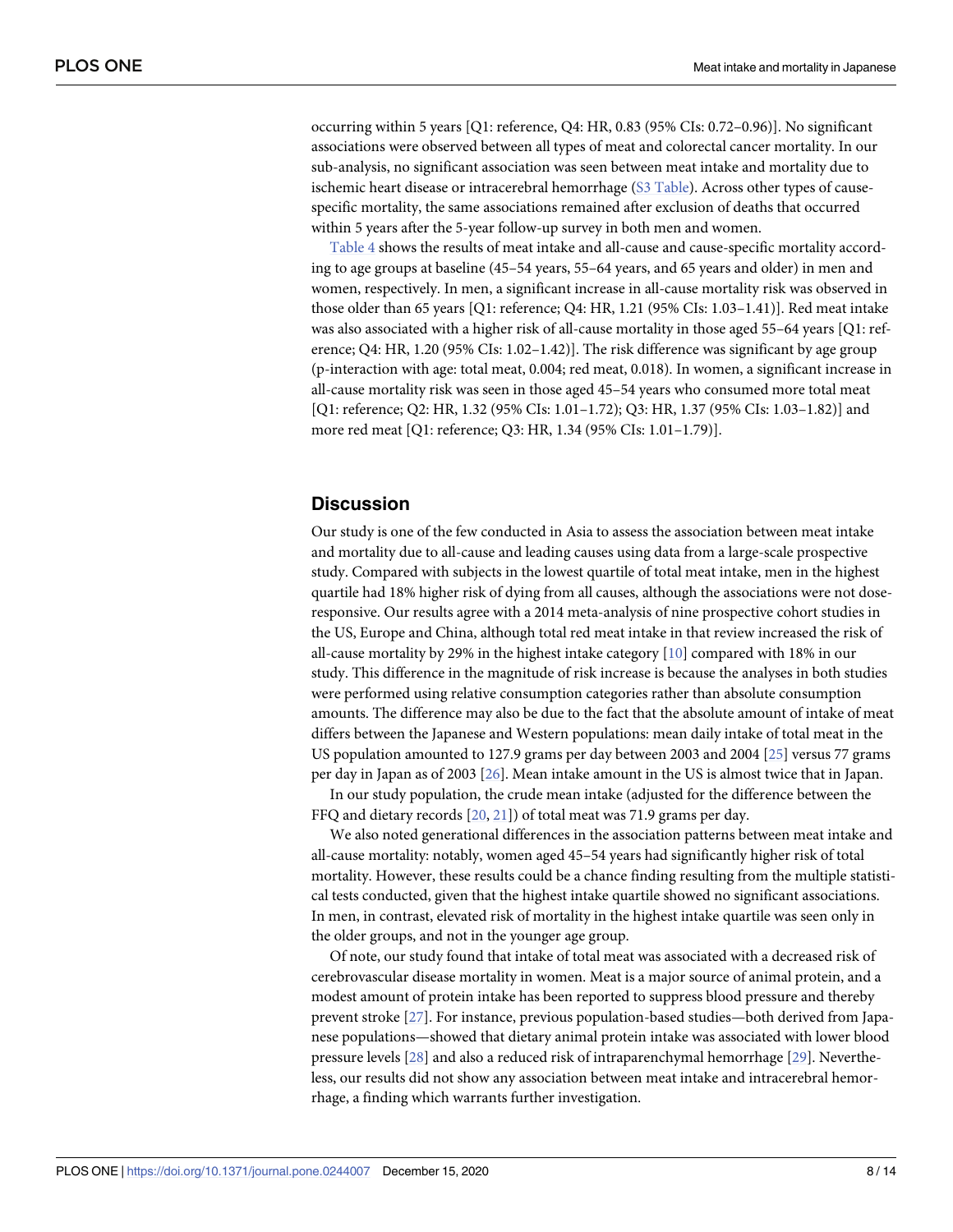<span id="page-7-0"></span>occurring within 5 years [Q1: reference, Q4: HR, 0.83 (95% CIs: 0.72–0.96)]. No significant associations were observed between all types of meat and colorectal cancer mortality. In our sub-analysis, no significant association was seen between meat intake and mortality due to ischemic heart disease or intracerebral hemorrhage (S3 [Table\)](#page-10-0). Across other types of causespecific mortality, the same associations remained after exclusion of deaths that occurred within 5 years after the 5-year follow-up survey in both men and women.

[Table](#page-8-0) 4 shows the results of meat intake and all-cause and cause-specific mortality according to age groups at baseline (45–54 years, 55–64 years, and 65 years and older) in men and women, respectively. In men, a significant increase in all-cause mortality risk was observed in those older than 65 years [Q1: reference; Q4: HR, 1.21 (95% CIs: 1.03–1.41)]. Red meat intake was also associated with a higher risk of all-cause mortality in those aged 55–64 years [Q1: reference; Q4: HR, 1.20 (95% CIs: 1.02–1.42)]. The risk difference was significant by age group (p-interaction with age: total meat, 0.004; red meat, 0.018). In women, a significant increase in all-cause mortality risk was seen in those aged 45–54 years who consumed more total meat [Q1: reference; Q2: HR, 1.32 (95% CIs: 1.01–1.72); Q3: HR, 1.37 (95% CIs: 1.03–1.82)] and more red meat [Q1: reference; Q3: HR, 1.34 (95% CIs: 1.01–1.79)].

## **Discussion**

Our study is one of the few conducted in Asia to assess the association between meat intake and mortality due to all-cause and leading causes using data from a large-scale prospective study. Compared with subjects in the lowest quartile of total meat intake, men in the highest quartile had 18% higher risk of dying from all causes, although the associations were not doseresponsive. Our results agree with a 2014 meta-analysis of nine prospective cohort studies in the US, Europe and China, although total red meat intake in that review increased the risk of all-cause mortality by 29% in the highest intake category [\[10\]](#page-12-0) compared with 18% in our study. This difference in the magnitude of risk increase is because the analyses in both studies were performed using relative consumption categories rather than absolute consumption amounts. The difference may also be due to the fact that the absolute amount of intake of meat differs between the Japanese and Western populations: mean daily intake of total meat in the US population amounted to 127.9 grams per day between 2003 and 2004 [[25](#page-12-0)] versus 77 grams per day in Japan as of 2003 [[26](#page-12-0)]. Mean intake amount in the US is almost twice that in Japan.

In our study population, the crude mean intake (adjusted for the difference between the FFQ and dietary records [[20](#page-12-0), [21](#page-12-0)]) of total meat was 71.9 grams per day.

We also noted generational differences in the association patterns between meat intake and all-cause mortality: notably, women aged 45–54 years had significantly higher risk of total mortality. However, these results could be a chance finding resulting from the multiple statistical tests conducted, given that the highest intake quartile showed no significant associations. In men, in contrast, elevated risk of mortality in the highest intake quartile was seen only in the older groups, and not in the younger age group.

Of note, our study found that intake of total meat was associated with a decreased risk of cerebrovascular disease mortality in women. Meat is a major source of animal protein, and a modest amount of protein intake has been reported to suppress blood pressure and thereby prevent stroke [[27](#page-12-0)]. For instance, previous population-based studies—both derived from Japanese populations—showed that dietary animal protein intake was associated with lower blood pressure levels [[28](#page-12-0)] and also a reduced risk of intraparenchymal hemorrhage [\[29\]](#page-13-0). Nevertheless, our results did not show any association between meat intake and intracerebral hemorrhage, a finding which warrants further investigation.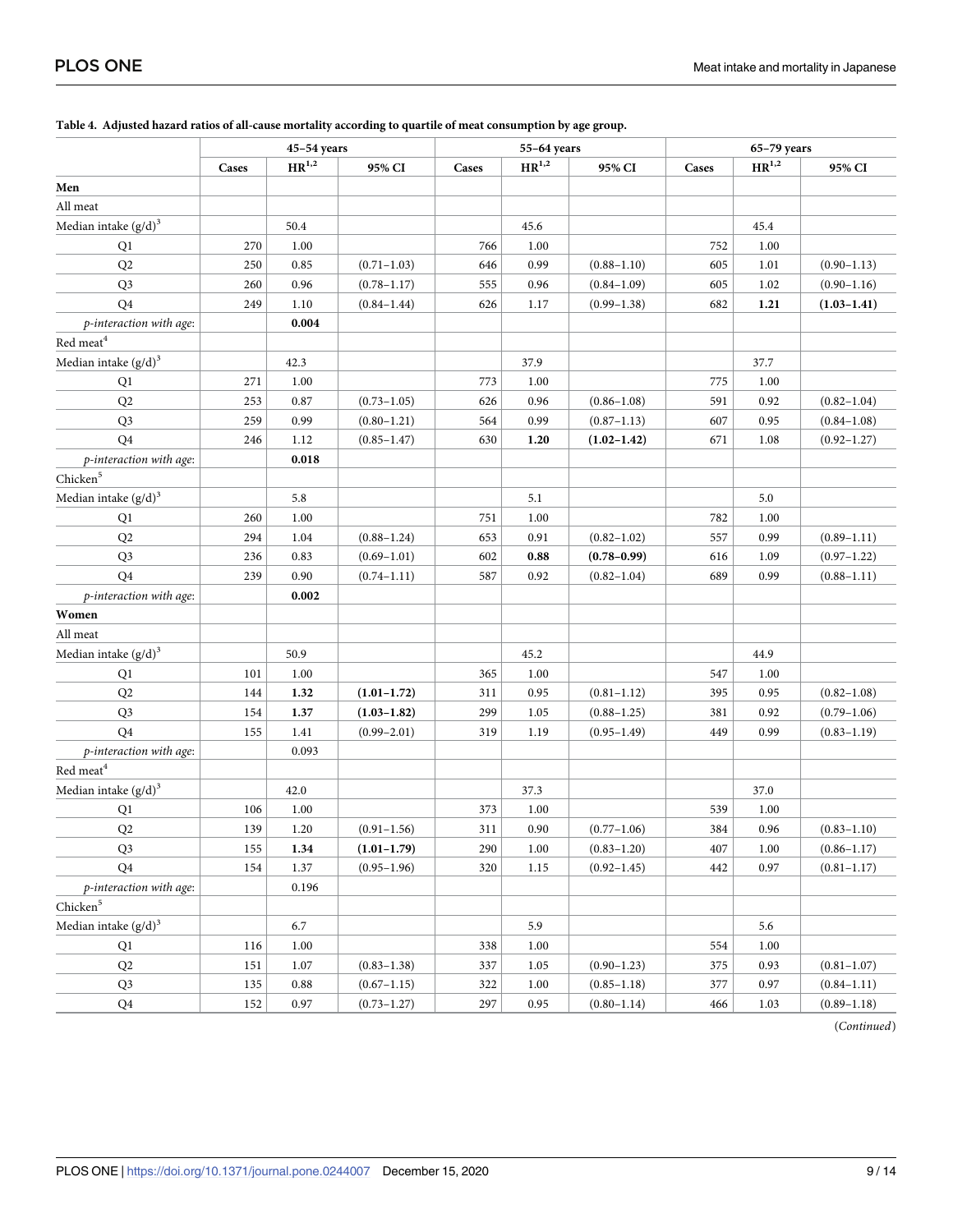|                              |       | 45-54 years                    |                 |       | 55-64 years         |                 | $65-79$ years |            |                 |  |
|------------------------------|-------|--------------------------------|-----------------|-------|---------------------|-----------------|---------------|------------|-----------------|--|
|                              | Cases | $\mathrm{HR}^{1,\overline{2}}$ | 95% CI          | Cases | $\mathbf{HR}^{1,2}$ | 95% CI          | Cases         | $HR^{1,2}$ | 95% CI          |  |
| Men                          |       |                                |                 |       |                     |                 |               |            |                 |  |
| All meat                     |       |                                |                 |       |                     |                 |               |            |                 |  |
| Median intake $(g/d)^3$      |       | 50.4                           |                 |       | 45.6                |                 |               | 45.4       |                 |  |
| Q1                           | 270   | 1.00                           |                 | 766   | 1.00                |                 | 752           | 1.00       |                 |  |
| Q2                           | 250   | 0.85                           | $(0.71 - 1.03)$ | 646   | 0.99                | $(0.88 - 1.10)$ | 605           | 1.01       | $(0.90 - 1.13)$ |  |
| Q <sub>3</sub>               | 260   | 0.96                           | $(0.78 - 1.17)$ | 555   | 0.96                | $(0.84 - 1.09)$ | 605           | 1.02       | $(0.90 - 1.16)$ |  |
| Q <sub>4</sub>               | 249   | 1.10                           | $(0.84 - 1.44)$ | 626   | 1.17                | $(0.99 - 1.38)$ | 682           | 1.21       | $(1.03 - 1.41)$ |  |
| p-interaction with age:      |       | 0.004                          |                 |       |                     |                 |               |            |                 |  |
| Red meat <sup>4</sup>        |       |                                |                 |       |                     |                 |               |            |                 |  |
| Median intake $(g/d)^3$      |       | 42.3                           |                 |       | 37.9                |                 |               | 37.7       |                 |  |
| Q1                           | 271   | 1.00                           |                 | 773   | 1.00                |                 | 775           | 1.00       |                 |  |
| Q2                           | 253   | 0.87                           | $(0.73 - 1.05)$ | 626   | 0.96                | $(0.86 - 1.08)$ | 591           | 0.92       | $(0.82 - 1.04)$ |  |
| Q3                           | 259   | 0.99                           | $(0.80 - 1.21)$ | 564   | 0.99                | $(0.87 - 1.13)$ | 607           | 0.95       | $(0.84 - 1.08)$ |  |
| Q <sub>4</sub>               | 246   | 1.12                           | $(0.85 - 1.47)$ | 630   | 1.20                | $(1.02 - 1.42)$ | 671           | 1.08       | $(0.92 - 1.27)$ |  |
| p-interaction with age:      |       | 0.018                          |                 |       |                     |                 |               |            |                 |  |
| Chicken <sup>5</sup>         |       |                                |                 |       |                     |                 |               |            |                 |  |
| Median intake $(g/d)^3$      |       | 5.8                            |                 |       | 5.1                 |                 |               | 5.0        |                 |  |
| Q1                           | 260   | 1.00                           |                 | 751   | 1.00                |                 | 782           | 1.00       |                 |  |
| Q2                           | 294   | 1.04                           | $(0.88 - 1.24)$ | 653   | 0.91                | $(0.82 - 1.02)$ | 557           | 0.99       | $(0.89 - 1.11)$ |  |
| Q3                           | 236   | 0.83                           | $(0.69 - 1.01)$ | 602   | 0.88                | $(0.78 - 0.99)$ | 616           | 1.09       | $(0.97 - 1.22)$ |  |
| Q <sub>4</sub>               | 239   | 0.90                           | $(0.74 - 1.11)$ | 587   | 0.92                | $(0.82 - 1.04)$ | 689           | 0.99       | $(0.88 - 1.11)$ |  |
| p-interaction with age:      |       | 0.002                          |                 |       |                     |                 |               |            |                 |  |
| Women                        |       |                                |                 |       |                     |                 |               |            |                 |  |
| All meat                     |       |                                |                 |       |                     |                 |               |            |                 |  |
| Median intake $(g/d)^3$      |       | 50.9                           |                 |       | 45.2                |                 |               | 44.9       |                 |  |
| Q1                           | 101   | 1.00                           |                 | 365   | 1.00                |                 | 547           | 1.00       |                 |  |
| Q2                           | 144   | 1.32                           | $(1.01 - 1.72)$ | 311   | 0.95                | $(0.81 - 1.12)$ | 395           | 0.95       | $(0.82 - 1.08)$ |  |
| Q3                           | 154   | 1.37                           | $(1.03 - 1.82)$ | 299   | 1.05                | $(0.88 - 1.25)$ | 381           | 0.92       | $(0.79 - 1.06)$ |  |
| Q <sub>4</sub>               | 155   | 1.41                           | $(0.99 - 2.01)$ | 319   | 1.19                | $(0.95 - 1.49)$ | 449           | 0.99       | $(0.83 - 1.19)$ |  |
| p-interaction with age:      |       | 0.093                          |                 |       |                     |                 |               |            |                 |  |
| $\mbox{Red}$ $\mbox{meat}^4$ |       |                                |                 |       |                     |                 |               |            |                 |  |
| Median intake $(g/d)^3$      |       | 42.0                           |                 |       | 37.3                |                 |               | 37.0       |                 |  |
| Q1                           | 106   | 1.00                           |                 | 373   | 1.00                |                 | 539           | 1.00       |                 |  |
| Q2                           | 139   | 1.20                           | $(0.91 - 1.56)$ | 311   | 0.90                | $(0.77 - 1.06)$ | 384           | 0.96       | $(0.83 - 1.10)$ |  |
| Q <sub>3</sub>               | 155   | 1.34                           | $(1.01 - 1.79)$ | 290   | 1.00                | $(0.83 - 1.20)$ | 407           | 1.00       | $(0.86 - 1.17)$ |  |
| Q4                           | 154   | 1.37                           | $(0.95 - 1.96)$ | 320   | 1.15                | $(0.92 - 1.45)$ | 442           | 0.97       | $(0.81 - 1.17)$ |  |
| p-interaction with age:      |       | 0.196                          |                 |       |                     |                 |               |            |                 |  |
| ${\rm Chicken}^5$            |       |                                |                 |       |                     |                 |               |            |                 |  |
| Median intake $(g/d)^3$      |       | 6.7                            |                 |       | 5.9                 |                 |               | 5.6        |                 |  |
| Q1                           | 116   | 1.00                           |                 | 338   | 1.00                |                 | 554           | 1.00       |                 |  |
| $\mathrm{Q}2$                | 151   | 1.07                           | $(0.83 - 1.38)$ | 337   | 1.05                | $(0.90 - 1.23)$ | 375           | 0.93       | $(0.81 - 1.07)$ |  |
| Q3                           | 135   | 0.88                           | $(0.67 - 1.15)$ | 322   | 1.00                | $(0.85 - 1.18)$ | 377           | 0.97       | $(0.84 - 1.11)$ |  |
| ${\bf Q4}$                   | 152   | $0.97\,$                       | $(0.73 - 1.27)$ | 297   | 0.95                | $(0.80 - 1.14)$ | 466           | 1.03       | $(0.89 - 1.18)$ |  |

#### <span id="page-8-0"></span>[Table](#page-7-0) 4. Adjusted hazard ratios of all-cause mortality according to quartile of meat consumption by age group.

(*Continued*)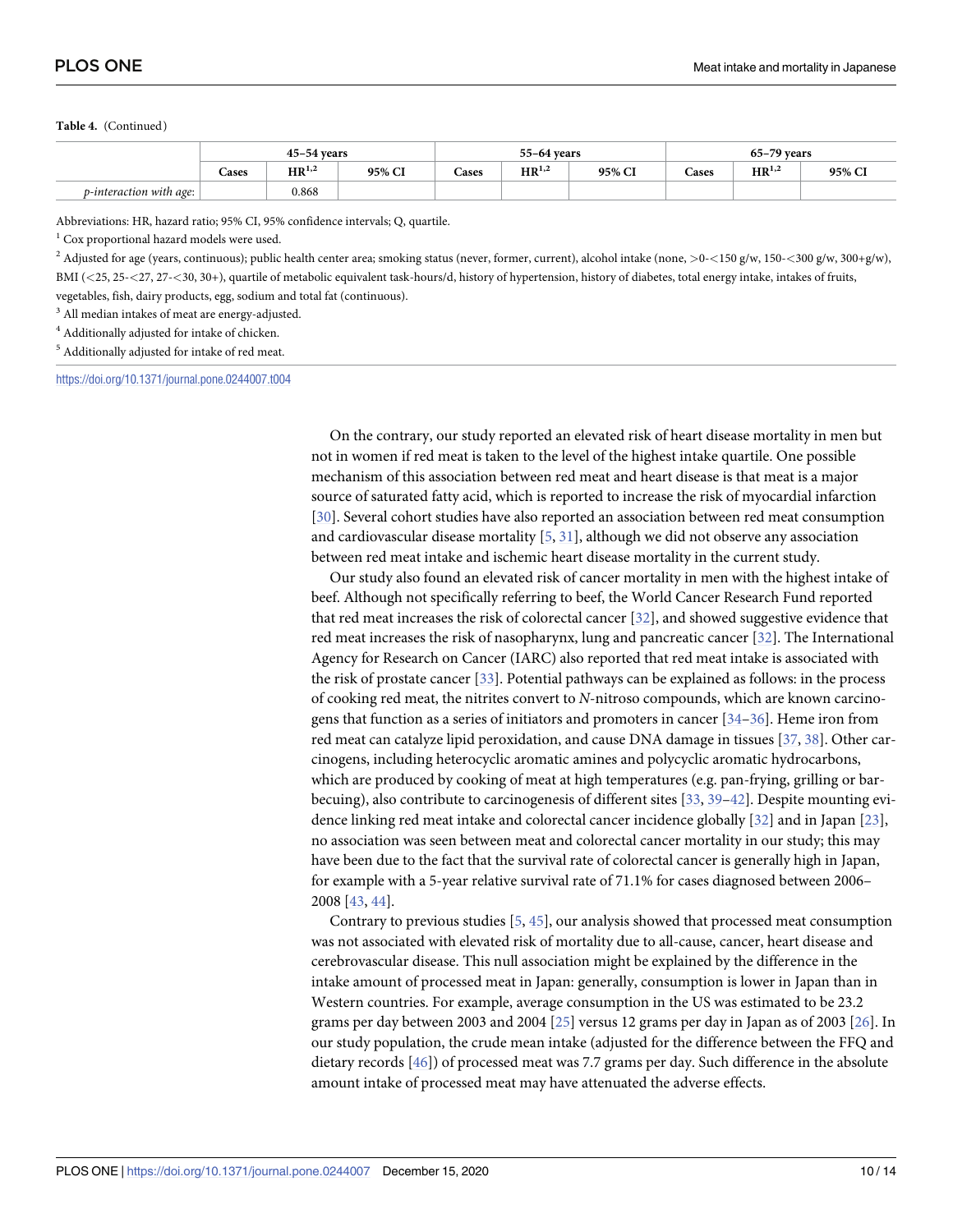#### <span id="page-9-0"></span>**Table 4.** (Continued)

|                                 |       | $45 - 54$ vears      |        |       | 55-64 vears                |        | $65-79$ years |                             |        |  |
|---------------------------------|-------|----------------------|--------|-------|----------------------------|--------|---------------|-----------------------------|--------|--|
|                                 | Cases | $\sim$<br>$HR^{1,2}$ | 95% CI | cases | $\mathbf{1}$<br>$HR^{1,2}$ | 95% CI | Cases         | $\sim$ $\sim$<br>$HR^{1,2}$ | 95% CI |  |
| <i>p</i> -interaction with age: |       | 0.868                |        |       |                            |        |               |                             |        |  |

Abbreviations: HR, hazard ratio; 95% CI, 95% confidence intervals; Q, quartile.

 $1$  Cox proportional hazard models were used.

<sup>2</sup> Adjusted for age (years, continuous); public health center area; smoking status (never, former, current), alcohol intake (none, *>*0-*<*150 g/w, 150-*<*300 g/w, 300+g/w), BMI (*<*25, 25-*<*27, 27-*<*30, 30+), quartile of metabolic equivalent task-hours/d, history of hypertension, history of diabetes, total energy intake, intakes of fruits, vegetables, fish, dairy products, egg, sodium and total fat (continuous).

 $^3$  All median intakes of meat are energy-adjusted.

<sup>4</sup> Additionally adjusted for intake of chicken.

 $^{\rm 5}$  Additionally adjusted for intake of red meat.

<https://doi.org/10.1371/journal.pone.0244007.t004>

On the contrary, our study reported an elevated risk of heart disease mortality in men but not in women if red meat is taken to the level of the highest intake quartile. One possible mechanism of this association between red meat and heart disease is that meat is a major source of saturated fatty acid, which is reported to increase the risk of myocardial infarction [\[30\]](#page-13-0). Several cohort studies have also reported an association between red meat consumption and cardiovascular disease mortality [\[5,](#page-11-0) [31\]](#page-13-0), although we did not observe any association between red meat intake and ischemic heart disease mortality in the current study.

Our study also found an elevated risk of cancer mortality in men with the highest intake of beef. Although not specifically referring to beef, the World Cancer Research Fund reported that red meat increases the risk of colorectal cancer [\[32\]](#page-13-0), and showed suggestive evidence that red meat increases the risk of nasopharynx, lung and pancreatic cancer [[32](#page-13-0)]. The International Agency for Research on Cancer (IARC) also reported that red meat intake is associated with the risk of prostate cancer [\[33\]](#page-13-0). Potential pathways can be explained as follows: in the process of cooking red meat, the nitrites convert to *N*-nitroso compounds, which are known carcinogens that function as a series of initiators and promoters in cancer [\[34–36](#page-13-0)]. Heme iron from red meat can catalyze lipid peroxidation, and cause DNA damage in tissues [\[37,](#page-13-0) [38\]](#page-13-0). Other carcinogens, including heterocyclic aromatic amines and polycyclic aromatic hydrocarbons, which are produced by cooking of meat at high temperatures (e.g. pan-frying, grilling or barbecuing), also contribute to carcinogenesis of different sites [[33](#page-13-0), [39–42\]](#page-13-0). Despite mounting evidence linking red meat intake and colorectal cancer incidence globally [[32](#page-13-0)] and in Japan [[23](#page-12-0)], no association was seen between meat and colorectal cancer mortality in our study; this may have been due to the fact that the survival rate of colorectal cancer is generally high in Japan, for example with a 5-year relative survival rate of 71.1% for cases diagnosed between 2006– 2008 [[43](#page-13-0), [44](#page-13-0)].

Contrary to previous studies [[5](#page-11-0), [45](#page-13-0)], our analysis showed that processed meat consumption was not associated with elevated risk of mortality due to all-cause, cancer, heart disease and cerebrovascular disease. This null association might be explained by the difference in the intake amount of processed meat in Japan: generally, consumption is lower in Japan than in Western countries. For example, average consumption in the US was estimated to be 23.2 grams per day between 2003 and 2004 [[25](#page-12-0)] versus 12 grams per day in Japan as of 2003 [\[26\]](#page-12-0). In our study population, the crude mean intake (adjusted for the difference between the FFQ and dietary records [\[46\]](#page-13-0)) of processed meat was 7.7 grams per day. Such difference in the absolute amount intake of processed meat may have attenuated the adverse effects.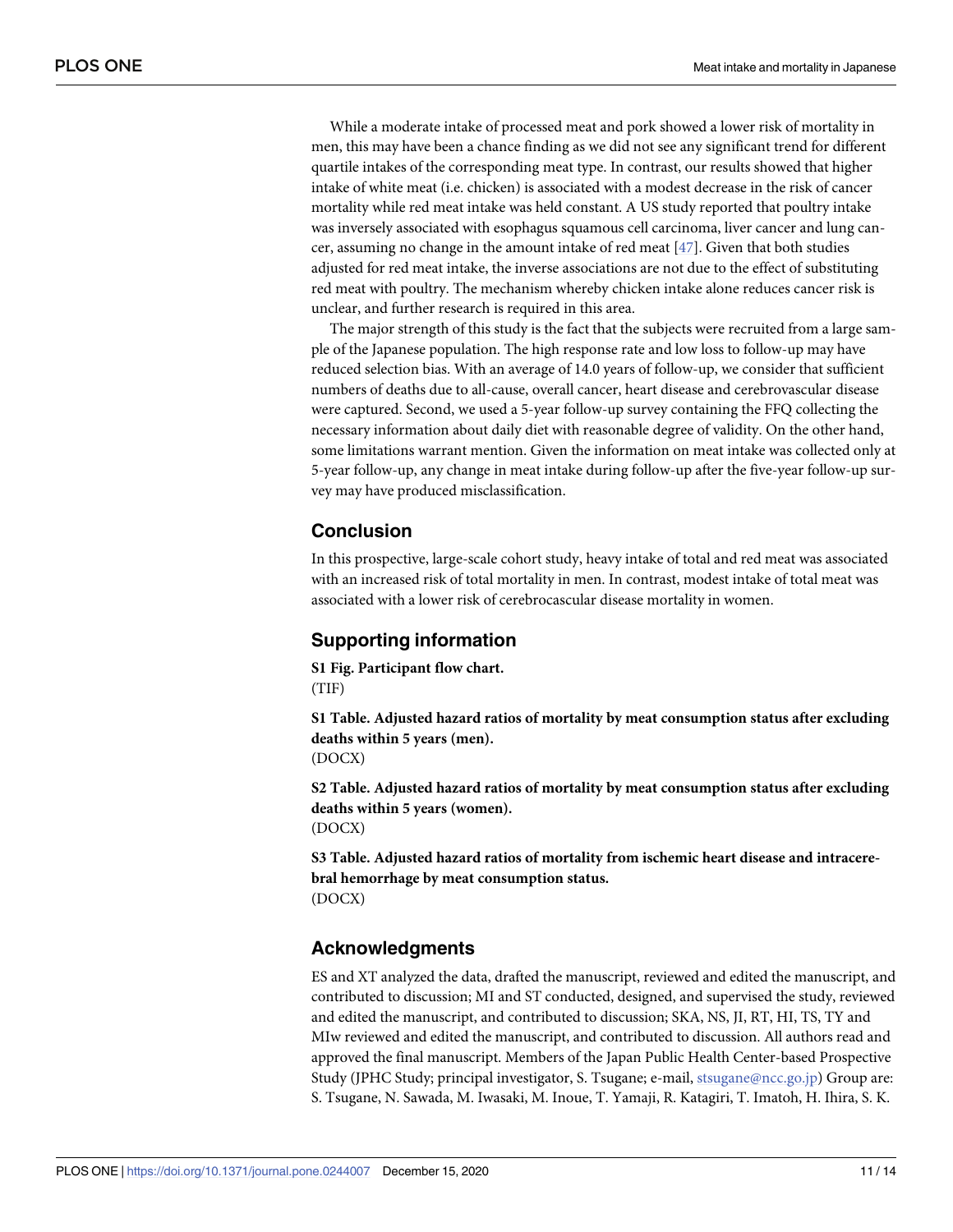<span id="page-10-0"></span>While a moderate intake of processed meat and pork showed a lower risk of mortality in men, this may have been a chance finding as we did not see any significant trend for different quartile intakes of the corresponding meat type. In contrast, our results showed that higher intake of white meat (i.e. chicken) is associated with a modest decrease in the risk of cancer mortality while red meat intake was held constant. A US study reported that poultry intake was inversely associated with esophagus squamous cell carcinoma, liver cancer and lung cancer, assuming no change in the amount intake of red meat [\[47\]](#page-13-0). Given that both studies adjusted for red meat intake, the inverse associations are not due to the effect of substituting red meat with poultry. The mechanism whereby chicken intake alone reduces cancer risk is unclear, and further research is required in this area.

The major strength of this study is the fact that the subjects were recruited from a large sample of the Japanese population. The high response rate and low loss to follow-up may have reduced selection bias. With an average of 14.0 years of follow-up, we consider that sufficient numbers of deaths due to all-cause, overall cancer, heart disease and cerebrovascular disease were captured. Second, we used a 5-year follow-up survey containing the FFQ collecting the necessary information about daily diet with reasonable degree of validity. On the other hand, some limitations warrant mention. Given the information on meat intake was collected only at 5-year follow-up, any change in meat intake during follow-up after the five-year follow-up survey may have produced misclassification.

## **Conclusion**

In this prospective, large-scale cohort study, heavy intake of total and red meat was associated with an increased risk of total mortality in men. In contrast, modest intake of total meat was associated with a lower risk of cerebrocascular disease mortality in women.

## **Supporting information**

**S1 [Fig](http://www.plosone.org/article/fetchSingleRepresentation.action?uri=info:doi/10.1371/journal.pone.0244007.s001). Participant flow chart.** (TIF)

**S1 [Table.](http://www.plosone.org/article/fetchSingleRepresentation.action?uri=info:doi/10.1371/journal.pone.0244007.s002) Adjusted hazard ratios of mortality by meat consumption status after excluding deaths within 5 years (men).** (DOCX)

**S2 [Table.](http://www.plosone.org/article/fetchSingleRepresentation.action?uri=info:doi/10.1371/journal.pone.0244007.s003) Adjusted hazard ratios of mortality by meat consumption status after excluding deaths within 5 years (women).** (DOCX)

**S3 [Table.](http://www.plosone.org/article/fetchSingleRepresentation.action?uri=info:doi/10.1371/journal.pone.0244007.s004) Adjusted hazard ratios of mortality from ischemic heart disease and intracerebral hemorrhage by meat consumption status.** (DOCX)

## **Acknowledgments**

ES and XT analyzed the data, drafted the manuscript, reviewed and edited the manuscript, and contributed to discussion; MI and ST conducted, designed, and supervised the study, reviewed and edited the manuscript, and contributed to discussion; SKA, NS, JI, RT, HI, TS, TY and MIw reviewed and edited the manuscript, and contributed to discussion. All authors read and approved the final manuscript. Members of the Japan Public Health Center-based Prospective Study (JPHC Study; principal investigator, S. Tsugane; e-mail, stsugane@ncc.go.jp) Group are: S. Tsugane, N. Sawada, M. Iwasaki, M. Inoue, T. Yamaji, R. Katagiri, T. Imatoh, H. Ihira, S. K.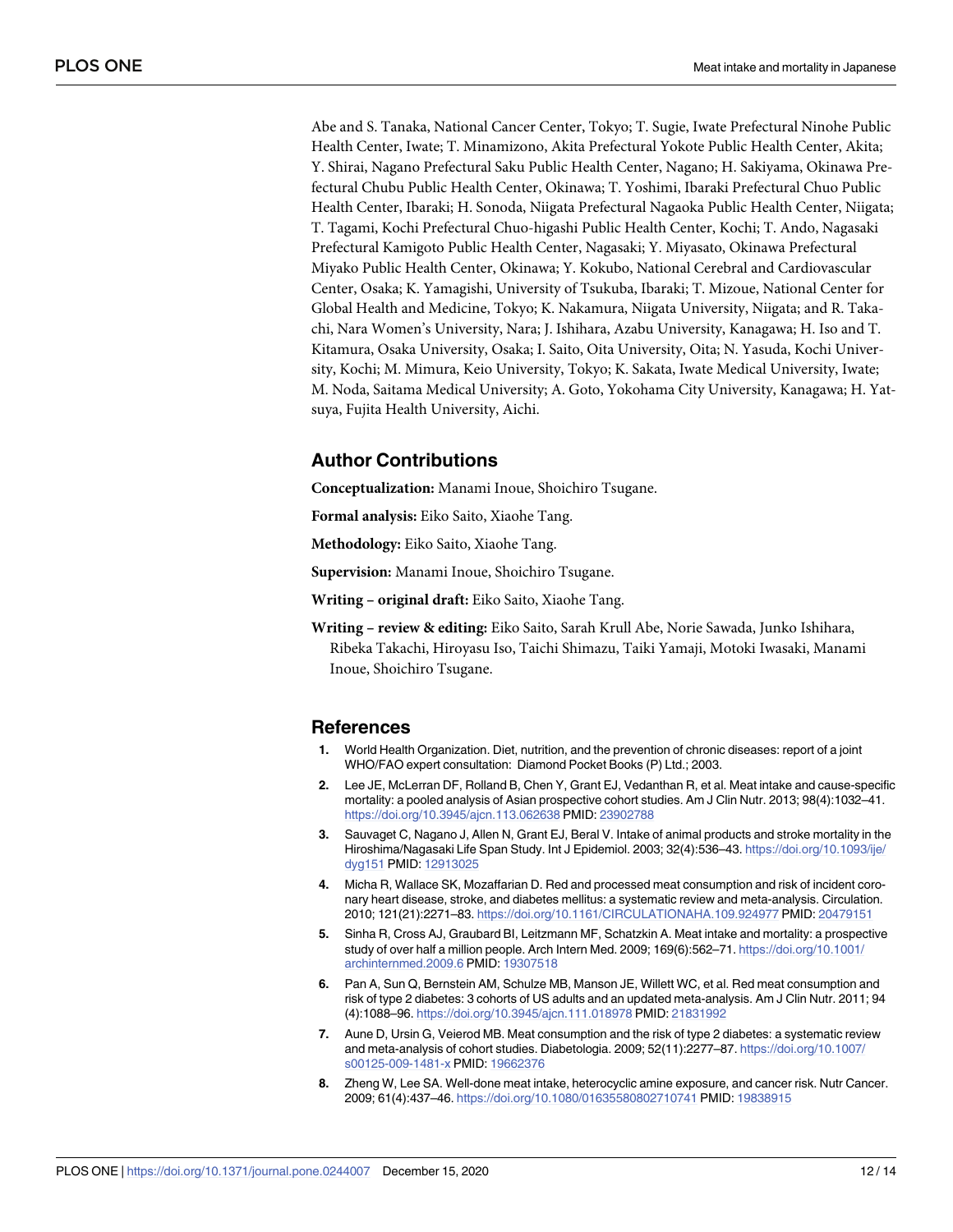<span id="page-11-0"></span>Abe and S. Tanaka, National Cancer Center, Tokyo; T. Sugie, Iwate Prefectural Ninohe Public Health Center, Iwate; T. Minamizono, Akita Prefectural Yokote Public Health Center, Akita; Y. Shirai, Nagano Prefectural Saku Public Health Center, Nagano; H. Sakiyama, Okinawa Prefectural Chubu Public Health Center, Okinawa; T. Yoshimi, Ibaraki Prefectural Chuo Public Health Center, Ibaraki; H. Sonoda, Niigata Prefectural Nagaoka Public Health Center, Niigata; T. Tagami, Kochi Prefectural Chuo-higashi Public Health Center, Kochi; T. Ando, Nagasaki Prefectural Kamigoto Public Health Center, Nagasaki; Y. Miyasato, Okinawa Prefectural Miyako Public Health Center, Okinawa; Y. Kokubo, National Cerebral and Cardiovascular Center, Osaka; K. Yamagishi, University of Tsukuba, Ibaraki; T. Mizoue, National Center for Global Health and Medicine, Tokyo; K. Nakamura, Niigata University, Niigata; and R. Takachi, Nara Women's University, Nara; J. Ishihara, Azabu University, Kanagawa; H. Iso and T. Kitamura, Osaka University, Osaka; I. Saito, Oita University, Oita; N. Yasuda, Kochi University, Kochi; M. Mimura, Keio University, Tokyo; K. Sakata, Iwate Medical University, Iwate; M. Noda, Saitama Medical University; A. Goto, Yokohama City University, Kanagawa; H. Yatsuya, Fujita Health University, Aichi.

## **Author Contributions**

**Conceptualization:** Manami Inoue, Shoichiro Tsugane.

**Formal analysis:** Eiko Saito, Xiaohe Tang.

**Methodology:** Eiko Saito, Xiaohe Tang.

**Supervision:** Manami Inoue, Shoichiro Tsugane.

**Writing – original draft:** Eiko Saito, Xiaohe Tang.

**Writing – review & editing:** Eiko Saito, Sarah Krull Abe, Norie Sawada, Junko Ishihara, Ribeka Takachi, Hiroyasu Iso, Taichi Shimazu, Taiki Yamaji, Motoki Iwasaki, Manami Inoue, Shoichiro Tsugane.

#### **References**

- **[1](#page-1-0).** World Health Organization. Diet, nutrition, and the prevention of chronic diseases: report of a joint WHO/FAO expert consultation: Diamond Pocket Books (P) Ltd.; 2003.
- **[2](#page-1-0).** Lee JE, McLerran DF, Rolland B, Chen Y, Grant EJ, Vedanthan R, et al. Meat intake and cause-specific mortality: a pooled analysis of Asian prospective cohort studies. Am J Clin Nutr. 2013; 98(4):1032–41. <https://doi.org/10.3945/ajcn.113.062638> PMID: [23902788](http://www.ncbi.nlm.nih.gov/pubmed/23902788)
- **[3](#page-1-0).** Sauvaget C, Nagano J, Allen N, Grant EJ, Beral V. Intake of animal products and stroke mortality in the Hiroshima/Nagasaki Life Span Study. Int J Epidemiol. 2003; 32(4):536–43. [https://doi.org/10.1093/ije/](https://doi.org/10.1093/ije/dyg151) [dyg151](https://doi.org/10.1093/ije/dyg151) PMID: [12913025](http://www.ncbi.nlm.nih.gov/pubmed/12913025)
- **[4](#page-1-0).** Micha R, Wallace SK, Mozaffarian D. Red and processed meat consumption and risk of incident coronary heart disease, stroke, and diabetes mellitus: a systematic review and meta-analysis. Circulation. 2010; 121(21):2271–83. <https://doi.org/10.1161/CIRCULATIONAHA.109.924977> PMID: [20479151](http://www.ncbi.nlm.nih.gov/pubmed/20479151)
- **[5](#page-1-0).** Sinha R, Cross AJ, Graubard BI, Leitzmann MF, Schatzkin A. Meat intake and mortality: a prospective study of over half a million people. Arch Intern Med. 2009; 169(6):562–71. [https://doi.org/10.1001/](https://doi.org/10.1001/archinternmed.2009.6) [archinternmed.2009.6](https://doi.org/10.1001/archinternmed.2009.6) PMID: [19307518](http://www.ncbi.nlm.nih.gov/pubmed/19307518)
- **[6](#page-1-0).** Pan A, Sun Q, Bernstein AM, Schulze MB, Manson JE, Willett WC, et al. Red meat consumption and risk of type 2 diabetes: 3 cohorts of US adults and an updated meta-analysis. Am J Clin Nutr. 2011; 94 (4):1088–96. <https://doi.org/10.3945/ajcn.111.018978> PMID: [21831992](http://www.ncbi.nlm.nih.gov/pubmed/21831992)
- **[7](#page-1-0).** Aune D, Ursin G, Veierod MB. Meat consumption and the risk of type 2 diabetes: a systematic review and meta-analysis of cohort studies. Diabetologia. 2009; 52(11):2277–87. [https://doi.org/10.1007/](https://doi.org/10.1007/s00125-009-1481-x) [s00125-009-1481-x](https://doi.org/10.1007/s00125-009-1481-x) PMID: [19662376](http://www.ncbi.nlm.nih.gov/pubmed/19662376)
- **[8](#page-1-0).** Zheng W, Lee SA. Well-done meat intake, heterocyclic amine exposure, and cancer risk. Nutr Cancer. 2009; 61(4):437–46. <https://doi.org/10.1080/01635580802710741> PMID: [19838915](http://www.ncbi.nlm.nih.gov/pubmed/19838915)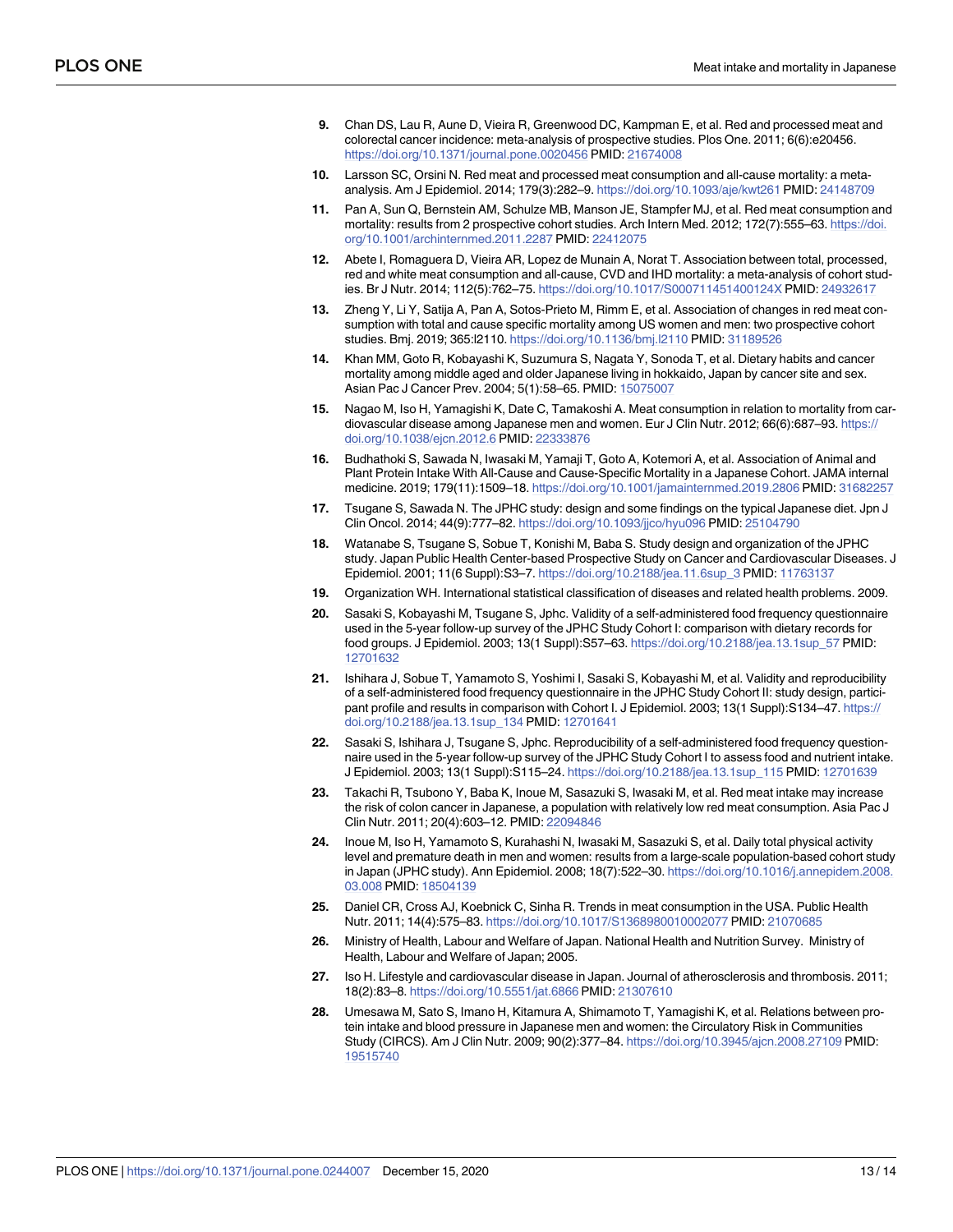- <span id="page-12-0"></span>**[9](#page-1-0).** Chan DS, Lau R, Aune D, Vieira R, Greenwood DC, Kampman E, et al. Red and processed meat and colorectal cancer incidence: meta-analysis of prospective studies. Plos One. 2011; 6(6):e20456. <https://doi.org/10.1371/journal.pone.0020456> PMID: [21674008](http://www.ncbi.nlm.nih.gov/pubmed/21674008)
- **[10](#page-1-0).** Larsson SC, Orsini N. Red meat and processed meat consumption and all-cause mortality: a metaanalysis. Am J Epidemiol. 2014; 179(3):282–9. <https://doi.org/10.1093/aje/kwt261> PMID: [24148709](http://www.ncbi.nlm.nih.gov/pubmed/24148709)
- **11.** Pan A, Sun Q, Bernstein AM, Schulze MB, Manson JE, Stampfer MJ, et al. Red meat consumption and mortality: results from 2 prospective cohort studies. Arch Intern Med. 2012; 172(7):555–63. [https://doi.](https://doi.org/10.1001/archinternmed.2011.2287) [org/10.1001/archinternmed.2011.2287](https://doi.org/10.1001/archinternmed.2011.2287) PMID: [22412075](http://www.ncbi.nlm.nih.gov/pubmed/22412075)
- **12.** Abete I, Romaguera D, Vieira AR, Lopez de Munain A, Norat T. Association between total, processed, red and white meat consumption and all-cause, CVD and IHD mortality: a meta-analysis of cohort studies. Br J Nutr. 2014; 112(5):762–75. <https://doi.org/10.1017/S000711451400124X> PMID: [24932617](http://www.ncbi.nlm.nih.gov/pubmed/24932617)
- **[13](#page-1-0).** Zheng Y, Li Y, Satija A, Pan A, Sotos-Prieto M, Rimm E, et al. Association of changes in red meat consumption with total and cause specific mortality among US women and men: two prospective cohort studies. Bmj. 2019; 365:l2110. <https://doi.org/10.1136/bmj.l2110> PMID: [31189526](http://www.ncbi.nlm.nih.gov/pubmed/31189526)
- **[14](#page-1-0).** Khan MM, Goto R, Kobayashi K, Suzumura S, Nagata Y, Sonoda T, et al. Dietary habits and cancer mortality among middle aged and older Japanese living in hokkaido, Japan by cancer site and sex. Asian Pac J Cancer Prev. 2004; 5(1):58–65. PMID: [15075007](http://www.ncbi.nlm.nih.gov/pubmed/15075007)
- **[15](#page-1-0).** Nagao M, Iso H, Yamagishi K, Date C, Tamakoshi A. Meat consumption in relation to mortality from cardiovascular disease among Japanese men and women. Eur J Clin Nutr. 2012; 66(6):687–93. [https://](https://doi.org/10.1038/ejcn.2012.6) [doi.org/10.1038/ejcn.2012.6](https://doi.org/10.1038/ejcn.2012.6) PMID: [22333876](http://www.ncbi.nlm.nih.gov/pubmed/22333876)
- **[16](#page-1-0).** Budhathoki S, Sawada N, Iwasaki M, Yamaji T, Goto A, Kotemori A, et al. Association of Animal and Plant Protein Intake With All-Cause and Cause-Specific Mortality in a Japanese Cohort. JAMA internal medicine. 2019; 179(11):1509–18. <https://doi.org/10.1001/jamainternmed.2019.2806> PMID: [31682257](http://www.ncbi.nlm.nih.gov/pubmed/31682257)
- **[17](#page-1-0).** Tsugane S, Sawada N. The JPHC study: design and some findings on the typical Japanese diet. Jpn J Clin Oncol. 2014; 44(9):777–82. <https://doi.org/10.1093/jjco/hyu096> PMID: [25104790](http://www.ncbi.nlm.nih.gov/pubmed/25104790)
- **[18](#page-1-0).** Watanabe S, Tsugane S, Sobue T, Konishi M, Baba S. Study design and organization of the JPHC study. Japan Public Health Center-based Prospective Study on Cancer and Cardiovascular Diseases. J Epidemiol. 2001; 11(6 Suppl):S3–7. [https://doi.org/10.2188/jea.11.6sup\\_3](https://doi.org/10.2188/jea.11.6sup%5F3) PMID: [11763137](http://www.ncbi.nlm.nih.gov/pubmed/11763137)
- **[19](#page-2-0).** Organization WH. International statistical classification of diseases and related health problems. 2009.
- **[20](#page-2-0).** Sasaki S, Kobayashi M, Tsugane S, Jphc. Validity of a self-administered food frequency questionnaire used in the 5-year follow-up survey of the JPHC Study Cohort I: comparison with dietary records for food groups. J Epidemiol. 2003; 13(1 Suppl):S57–63. [https://doi.org/10.2188/jea.13.1sup\\_57](https://doi.org/10.2188/jea.13.1sup%5F57) PMID: [12701632](http://www.ncbi.nlm.nih.gov/pubmed/12701632)
- **[21](#page-2-0).** Ishihara J, Sobue T, Yamamoto S, Yoshimi I, Sasaki S, Kobayashi M, et al. Validity and reproducibility of a self-administered food frequency questionnaire in the JPHC Study Cohort II: study design, participant profile and results in comparison with Cohort I. J Epidemiol. 2003; 13(1 Suppl): S134-47. [https://](https://doi.org/10.2188/jea.13.1sup%5F134) [doi.org/10.2188/jea.13.1sup\\_134](https://doi.org/10.2188/jea.13.1sup%5F134) PMID: [12701641](http://www.ncbi.nlm.nih.gov/pubmed/12701641)
- **[22](#page-2-0).** Sasaki S, Ishihara J, Tsugane S, Jphc. Reproducibility of a self-administered food frequency questionnaire used in the 5-year follow-up survey of the JPHC Study Cohort I to assess food and nutrient intake. J Epidemiol. 2003; 13(1 Suppl):S115–24. [https://doi.org/10.2188/jea.13.1sup\\_115](https://doi.org/10.2188/jea.13.1sup%5F115) PMID: [12701639](http://www.ncbi.nlm.nih.gov/pubmed/12701639)
- **[23](#page-2-0).** Takachi R, Tsubono Y, Baba K, Inoue M, Sasazuki S, Iwasaki M, et al. Red meat intake may increase the risk of colon cancer in Japanese, a population with relatively low red meat consumption. Asia Pac J Clin Nutr. 2011; 20(4):603–12. PMID: [22094846](http://www.ncbi.nlm.nih.gov/pubmed/22094846)
- **[24](#page-3-0).** Inoue M, Iso H, Yamamoto S, Kurahashi N, Iwasaki M, Sasazuki S, et al. Daily total physical activity level and premature death in men and women: results from a large-scale population-based cohort study in Japan (JPHC study). Ann Epidemiol. 2008; 18(7):522–30. [https://doi.org/10.1016/j.annepidem.2008.](https://doi.org/10.1016/j.annepidem.2008.03.008) [03.008](https://doi.org/10.1016/j.annepidem.2008.03.008) PMID: [18504139](http://www.ncbi.nlm.nih.gov/pubmed/18504139)
- **[25](#page-7-0).** Daniel CR, Cross AJ, Koebnick C, Sinha R. Trends in meat consumption in the USA. Public Health Nutr. 2011; 14(4):575–83. <https://doi.org/10.1017/S1368980010002077> PMID: [21070685](http://www.ncbi.nlm.nih.gov/pubmed/21070685)
- **[26](#page-7-0).** Ministry of Health, Labour and Welfare of Japan. National Health and Nutrition Survey. Ministry of Health, Labour and Welfare of Japan; 2005.
- **[27](#page-7-0).** Iso H. Lifestyle and cardiovascular disease in Japan. Journal of atherosclerosis and thrombosis. 2011; 18(2):83–8. <https://doi.org/10.5551/jat.6866> PMID: [21307610](http://www.ncbi.nlm.nih.gov/pubmed/21307610)
- **[28](#page-7-0).** Umesawa M, Sato S, Imano H, Kitamura A, Shimamoto T, Yamagishi K, et al. Relations between protein intake and blood pressure in Japanese men and women: the Circulatory Risk in Communities Study (CIRCS). Am J Clin Nutr. 2009; 90(2):377–84. <https://doi.org/10.3945/ajcn.2008.27109> PMID: [19515740](http://www.ncbi.nlm.nih.gov/pubmed/19515740)